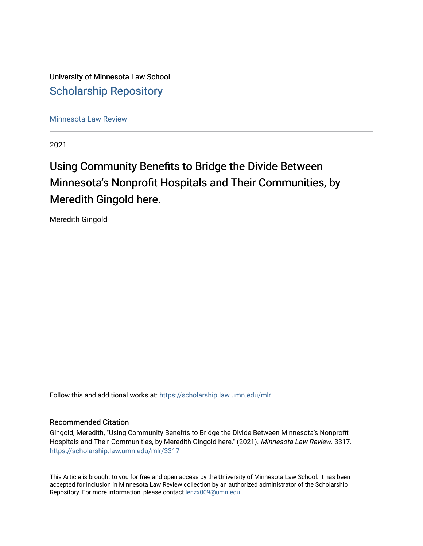University of Minnesota Law School [Scholarship Repository](https://scholarship.law.umn.edu/) 

[Minnesota Law Review](https://scholarship.law.umn.edu/mlr) 

2021

# Using Community Benefits to Bridge the Divide Between Minnesota's Nonprofit Hospitals and Their Communities, by Meredith Gingold here.

Meredith Gingold

Follow this and additional works at: [https://scholarship.law.umn.edu/mlr](https://scholarship.law.umn.edu/mlr?utm_source=scholarship.law.umn.edu%2Fmlr%2F3317&utm_medium=PDF&utm_campaign=PDFCoverPages)

## Recommended Citation

Gingold, Meredith, "Using Community Benefits to Bridge the Divide Between Minnesota's Nonprofit Hospitals and Their Communities, by Meredith Gingold here." (2021). Minnesota Law Review. 3317. [https://scholarship.law.umn.edu/mlr/3317](https://scholarship.law.umn.edu/mlr/3317?utm_source=scholarship.law.umn.edu%2Fmlr%2F3317&utm_medium=PDF&utm_campaign=PDFCoverPages)

This Article is brought to you for free and open access by the University of Minnesota Law School. It has been accepted for inclusion in Minnesota Law Review collection by an authorized administrator of the Scholarship Repository. For more information, please contact [lenzx009@umn.edu.](mailto:lenzx009@umn.edu)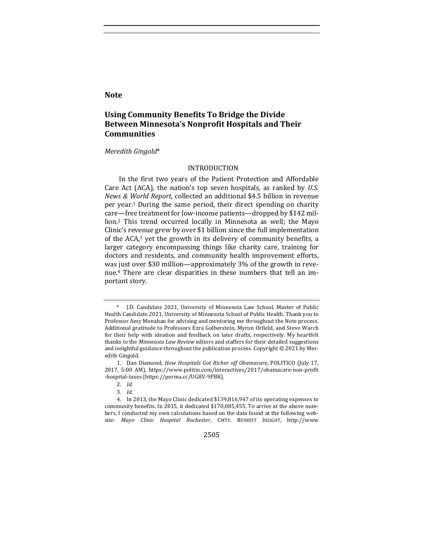## **Note**

## Using Community Benefits To Bridge the Divide Between Minnesota's Nonprofit Hospitals and Their **Communities**

#### *Meredith Gingold*\*

## INTRODUCTION

In the first two years of the Patient Protection and Affordable Care Act (ACA), the nation's top seven hospitals, as ranked by *U.S. News & World Report*, collected an additional \$4.5 billion in revenue per year.<sup>1</sup> During the same period, their direct spending on charity care—free treatment for low-income patients—dropped by \$142 million.<sup>2</sup> This trend occurred locally in Minnesota as well; the Mayo Clinic's revenue grew by over \$1 billion since the full implementation of the ACA,<sup>3</sup> yet the growth in its delivery of community benefits, a larger category encompassing things like charity care, training for doctors and residents, and community health improvement efforts, was just over \$30 million—approximately  $3\%$  of the growth in revenue.<sup>4</sup> There are clear disparities in these numbers that tell an important story.

2505

J.D. Candidate 2021, University of Minnesota Law School. Master of Public Health Candidate 2021, University of Minnesota School of Public Health. Thank you to Professor Amy Monahan for advising and mentoring me throughout the Note process. Additional gratitude to Professors Ezra Golberstein, Myron Orfield, and Steve Warch for their help with ideation and feedback on later drafts, respectively. My heartfelt thanks to the *Minnesota Law Review* editors and staffers for their detailed suggestions and insightful guidance throughout the publication process. Copyright  $@$  2021 by Meredith Gingold.

<sup>1.</sup> Dan Diamond, *How Hospitals Got Richer off Obamacare*, POLITICO (July 17, 2017, 5:00 AM), https://www.politio.com/interactives/2017/obamacare-non-profit -hospital-taxes [https://perma.cc/UG8V-9PBK].

<sup>2.</sup> *Id.* 

<sup>3.</sup> *Id.* 

<sup>4.</sup> In 2013, the Mayo Clinic dedicated \$139,816,947 of its operating expenses to community benefits. In 2015, it dedicated \$170,085,455. To arrive at the above numbers, I conducted my own calculations based on the data found at the following website: Mayo Clinic Hospital Rochester, CMTY. BENEFIT INSIGHT, http://www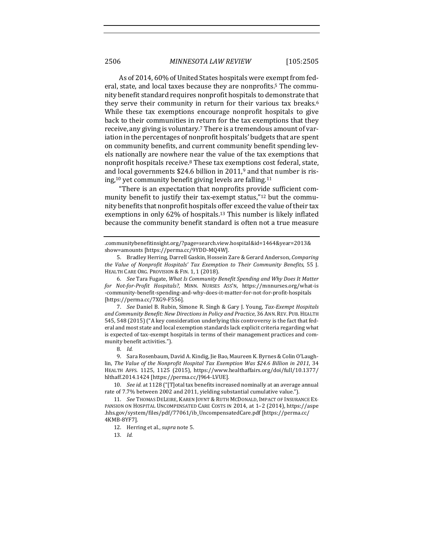As of 2014, 60% of United States hospitals were exempt from federal, state, and local taxes because they are nonprofits.<sup>5</sup> The community benefit standard requires nonprofit hospitals to demonstrate that they serve their community in return for their various tax breaks.<sup>6</sup> While these tax exemptions encourage nonprofit hospitals to give back to their communities in return for the tax exemptions that they receive, any giving is voluntary.<sup>7</sup> There is a tremendous amount of variation in the percentages of nonprofit hospitals' budgets that are spent on community benefits, and current community benefit spending levels nationally are nowhere near the value of the tax exemptions that nonprofit hospitals receive.<sup>8</sup> These tax exemptions cost federal, state, and local governments  $$24.6$  billion in 2011,<sup>9</sup> and that number is rising,<sup>10</sup> yet community benefit giving levels are falling.<sup>11</sup>

"There is an expectation that nonprofits provide sufficient community benefit to justify their tax-exempt status,"<sup>12</sup> but the community benefits that nonprofit hospitals offer exceed the value of their tax exemptions in only  $62\%$  of hospitals.<sup>13</sup> This number is likely inflated because the community benefit standard is often not a true measure

7. *See* Daniel B. Rubin, Simone R. Singh & Gary J. Young, Tax-Exempt Hospitals and Community Benefit: New Directions in Policy and Practice, 36 ANN. REV. PUB. HEALTH 545, 548 (2015) ("A key consideration underlying this controversy is the fact that federal and most state and local exemption standards lack explicit criteria regarding what is expected of tax-exempt hospitals in terms of their management practices and community benefit activities.").

8. *Id.* 

9. Sara Rosenbaum, David A. Kindig, Jie Bao, Maureen K. Byrnes & Colin O'Laughlin, The Value of the Nonprofit Hospital Tax Exemption Was \$24.6 Billion in 2011, 34 HEALTH AFFS. 1125, 1125 (2015), https://www.healthaffairs.org/doi/full/10.1377/ hlthaff.2014.1424 [https://perma.cc/J964-LVUE].

10. *See id.* at 1128 ("[T]otal tax benefits increased nominally at an average annual rate of 7.7% between 2002 and 2011, yielding substantial cumulative value.").

11. *See* THOMAS DELEIRE, KAREN JOYNT & RUTH MCDONALD, IMPACT OF INSURANCE EX-PANSION ON HOSPITAL UNCOMPENSATED CARE COSTS IN 2014, at 1-2 (2014), https://aspe .hhs.gov/system/files/pdf/77061/ib\_UncompensatedCare.pdf [https://perma.cc/ 4KMB-8YF7].

12. Herring et al., *supra* note 5.

13. *Id.* 

<sup>.</sup>communitybenefitinsight.org/?page=search.view.hospital&id=1464&year=2013& show=amounts [https://perma.cc/9YDD-MQ4W].

<sup>5.</sup> Bradley Herring, Darrell Gaskin, Hossein Zare & Gerard Anderson, *Comparing the Value of Nonprofit Hospitals' Tax Exemption to Their Community Benefits*, 55 J. HEALTH CARE ORG. PROVISION & FIN. 1, 1 (2018).

<sup>6.</sup> *See* Tara Fugate, *What Is Community Benefit Spending and Why Does It Matter for Not-for-Profit Hospitals?*, MINN. NURSES ASS'N, https://mnnurses.org/what-is -community-benefit-spending-and-why-does-it-matter-for-not-for-profit-hospitals [https://perma.cc/7XG9-F556].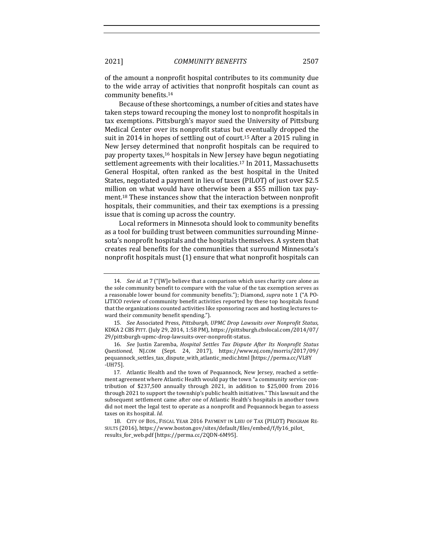of the amount a nonprofit hospital contributes to its community due to the wide array of activities that nonprofit hospitals can count as community benefits.<sup>14</sup>

Because of these shortcomings, a number of cities and states have taken steps toward recouping the money lost to nonprofit hospitals in tax exemptions. Pittsburgh's mayor sued the University of Pittsburg Medical Center over its nonprofit status but eventually dropped the suit in 2014 in hopes of settling out of court.<sup>15</sup> After a 2015 ruling in New Jersey determined that nonprofit hospitals can be required to pay property taxes,<sup>16</sup> hospitals in New Jersey have begun negotiating settlement agreements with their localities.<sup>17</sup> In 2011, Massachusetts General Hospital, often ranked as the best hospital in the United States, negotiated a payment in lieu of taxes (PILOT) of just over \$2.5 million on what would have otherwise been a \$55 million tax payment.<sup>18</sup> These instances show that the interaction between nonprofit hospitals, their communities, and their tax exemptions is a pressing issue that is coming up across the country.

Local reformers in Minnesota should look to community benefits as a tool for building trust between communities surrounding Minnesota's nonprofit hospitals and the hospitals themselves. A system that creates real benefits for the communities that surround Minnesota's nonprofit hospitals must (1) ensure that what nonprofit hospitals can

<sup>14.</sup> *See id.* at 7 ("[W]e believe that a comparison which uses charity care alone as the sole community benefit to compare with the value of the tax exemption serves as a reasonable lower bound for community benefits."); Diamond, *supra* note 1 ("A PO-LITICO review of community benefit activities reported by these top hospitals found that the organizations counted activities like sponsoring races and hosting lectures toward their community benefit spending.").

<sup>15.</sup> *See* Associated Press, *Pittsburgh, UPMC Drop Lawsuits over Nonprofit Status*, KDKA 2 CBS PITT. (July 29, 2014, 1:58 PM), https://pittsburgh.cbslocal.com/2014/07/ 29/pittsburgh-upmc-drop-lawsuits-over-nonprofit-status.

<sup>16.</sup> *See* Justin Zaremba, *Hospital Settles Tax Dispute After Its Nonprofit Status Questioned*, NJ.COM (Sept. 24, 2017), https://www.nj.com/morris/2017/09/ pequannock\_settles\_tax\_dispute\_with\_atlantic\_medic.html [https://perma.cc/VL8Y -UH75].

<sup>17.</sup> Atlantic Health and the town of Pequannock, New Jersey, reached a settlement agreement where Atlantic Health would pay the town "a community service contribution of \$237,500 annually through 2021, in addition to \$25,000 from 2016 through 2021 to support the township's public health initiatives." This lawsuit and the subsequent settlement came after one of Atlantic Health's hospitals in another town did not meet the legal test to operate as a nonprofit and Pequannock began to assess taxes on its hospital. *Id.* 

<sup>18.</sup> CITY OF BOS., FISCAL YEAR 2016 PAYMENT IN LIEU OF TAX (PILOT) PROGRAM RE-SULTS (2016), https://www.boston.gov/sites/default/files/embed/f/fy16\_pilot\_ results\_for\_web.pdf [https://perma.cc/2QDN-6M95].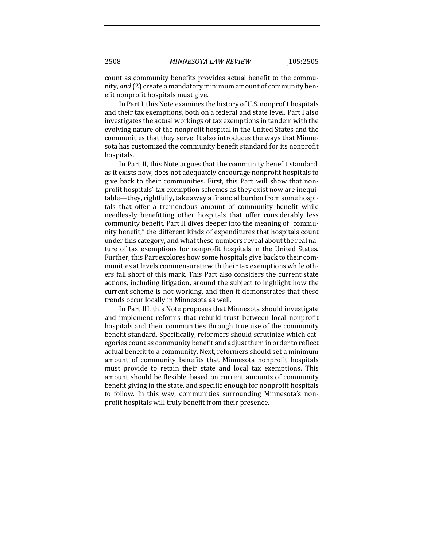count as community benefits provides actual benefit to the community, *and* (2) create a mandatory minimum amount of community benefit nonprofit hospitals must give.

In Part I, this Note examines the history of U.S. nonprofit hospitals and their tax exemptions, both on a federal and state level. Part I also investigates the actual workings of tax exemptions in tandem with the evolving nature of the nonprofit hospital in the United States and the communities that they serve. It also introduces the ways that Minnesota has customized the community benefit standard for its nonprofit hospitals.

In Part II, this Note argues that the community benefit standard, as it exists now, does not adequately encourage nonprofit hospitals to give back to their communities. First, this Part will show that nonprofit hospitals' tax exemption schemes as they exist now are inequitable—they, rightfully, take away a financial burden from some hospitals that offer a tremendous amount of community benefit while needlessly benefitting other hospitals that offer considerably less community benefit. Part II dives deeper into the meaning of "community benefit," the different kinds of expenditures that hospitals count under this category, and what these numbers reveal about the real nature of tax exemptions for nonprofit hospitals in the United States. Further, this Part explores how some hospitals give back to their communities at levels commensurate with their tax exemptions while others fall short of this mark. This Part also considers the current state actions, including litigation, around the subject to highlight how the current scheme is not working, and then it demonstrates that these trends occur locally in Minnesota as well.

In Part III, this Note proposes that Minnesota should investigate and implement reforms that rebuild trust between local nonprofit hospitals and their communities through true use of the community benefit standard. Specifically, reformers should scrutinize which categories count as community benefit and adjust them in order to reflect actual benefit to a community. Next, reformers should set a minimum amount of community benefits that Minnesota nonprofit hospitals must provide to retain their state and local tax exemptions. This amount should be flexible, based on current amounts of community benefit giving in the state, and specific enough for nonprofit hospitals to follow. In this way, communities surrounding Minnesota's nonprofit hospitals will truly benefit from their presence.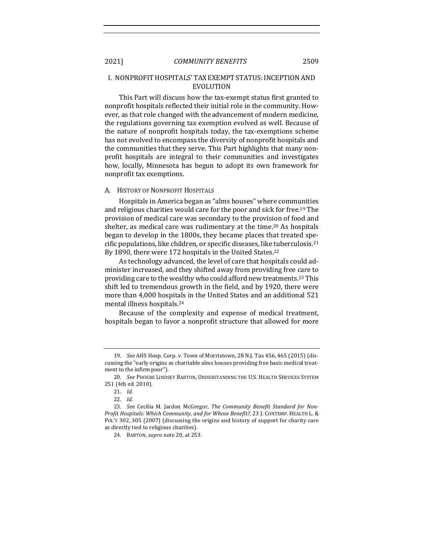## I. NONPROFIT HOSPITALS' TAX EXEMPT STATUS: INCEPTION AND EVOLUTION

This Part will discuss how the tax-exempt status first granted to nonprofit hospitals reflected their initial role in the community. However, as that role changed with the advancement of modern medicine, the regulations governing tax exemption evolved as well. Because of the nature of nonprofit hospitals today, the tax-exemptions scheme has not evolved to encompass the diversity of nonprofit hospitals and the communities that they serve. This Part highlights that many nonprofit hospitals are integral to their communities and investigates how, locally, Minnesota has begun to adopt its own framework for nonprofit tax exemptions.

#### A. HISTORY OF NONPROFIT HOSPITALS

Hospitals in America began as "alms houses" where communities and religious charities would care for the poor and sick for free.<sup>19</sup> The provision of medical care was secondary to the provision of food and shelter, as medical care was rudimentary at the time.<sup>20</sup> As hospitals began to develop in the 1800s, they became places that treated specific populations, like children, or specific diseases, like tuberculosis.<sup>21</sup> By 1890, there were 172 hospitals in the United States.<sup>22</sup>

As technology advanced, the level of care that hospitals could administer increased, and they shifted away from providing free care to providing care to the wealthy who could afford new treatments.<sup>23</sup> This shift led to tremendous growth in the field, and by 1920, there were more than 4,000 hospitals in the United States and an additional 521 mental illness hospitals.<sup>24</sup>

Because of the complexity and expense of medical treatment, hospitals began to favor a nonprofit structure that allowed for more

<sup>19.</sup> *See* AHS Hosp. Corp. v. Town of Morristown, 28 N.J. Tax 456, 465 (2015) (discussing the "early origins as charitable alms houses providing free basic medical treatment to the infirm poor").

<sup>20.</sup> *See* PHOEBE LINDSEY BARTON, UNDERSTANDING THE U.S. HEALTH SERVICES SYSTEM 251 (4th ed. 2010).

<sup>21.</sup> *Id.* 

<sup>22.</sup> *Id.* 

<sup>23.</sup> See Cecilia M. Jardon McGregor, The Community Benefit Standard for Non-Profit Hospitals: Which Community, and for Whose Benefit?, 23 J. CONTEMP. HEALTH L. & POL'Y 302, 305 (2007) (discussing the origins and history of support for charity care as directly tied to religious charities).

<sup>24.</sup> BARTON, *supra* note 20, at 253.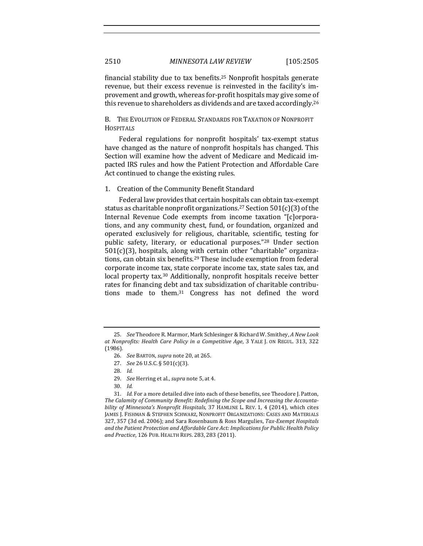financial stability due to tax benefits.<sup>25</sup> Nonprofit hospitals generate revenue, but their excess revenue is reinvested in the facility's improvement and growth, whereas for-profit hospitals may give some of this revenue to shareholders as dividends and are taxed accordingly.<sup>26</sup>

B. THE EVOLUTION OF FEDERAL STANDARDS FOR TAXATION OF NONPROFIT **HOSPITALS** 

Federal regulations for nonprofit hospitals' tax-exempt status have changed as the nature of nonprofit hospitals has changed. This Section will examine how the advent of Medicare and Medicaid impacted IRS rules and how the Patient Protection and Affordable Care Act continued to change the existing rules.

#### 1. Creation of the Community Benefit Standard

Federal law provides that certain hospitals can obtain tax-exempt status as charitable nonprofit organizations.<sup>27</sup> Section  $501(c)(3)$  of the Internal Revenue Code exempts from income taxation "[c]orporations, and any community chest, fund, or foundation, organized and operated exclusively for religious, charitable, scientific, testing for public safety, literary, or educational purposes."<sup>28</sup> Under section  $501(c)(3)$ , hospitals, along with certain other "charitable" organizations, can obtain six benefits.<sup>29</sup> These include exemption from federal corporate income tax, state corporate income tax, state sales tax, and local property tax.<sup>30</sup> Additionally, nonprofit hospitals receive better rates for financing debt and tax subsidization of charitable contributions made to them. $31$  Congress has not defined the word

29. *See* Herring et al., *supra* note 5, at 4.

<sup>25.</sup> *See* Theodore R. Marmor, Mark Schlesinger & Richard W. Smithey, *A New Look* at Nonprofits: Health Care Policy in a Competitive Age, 3 YALE J. ON REGUL. 313, 322 (1986).

<sup>26.</sup> *See BARTON, supra note* 20, at 265.

<sup>27.</sup> *See* 26 U.S.C. § 501(c)(3).

<sup>28.</sup> *Id.* 

<sup>30.</sup> *Id.* 

<sup>31.</sup> *Id.* For a more detailed dive into each of these benefits, see Theodore J. Patton, The Calamity of Community Benefit: Redefining the Scope and Increasing the Accounta*bility of Minnesota's Nonprofit Hospitals*, 37 HAMLINE L. REV. 1, 4 (2014), which cites JAMES J. FISHMAN & STEPHEN SCHWARZ, NONPROFIT ORGANIZATIONS: CASES AND MATERIALS 327, 357 (3d ed. 2006); and Sara Rosenbaum & Ross Margulies, Tax-Exempt Hospitals and the Patient Protection and Affordable Care Act: Implications for Public Health Policy and Practice, 126 PUB. HEALTH REPS. 283, 283 (2011).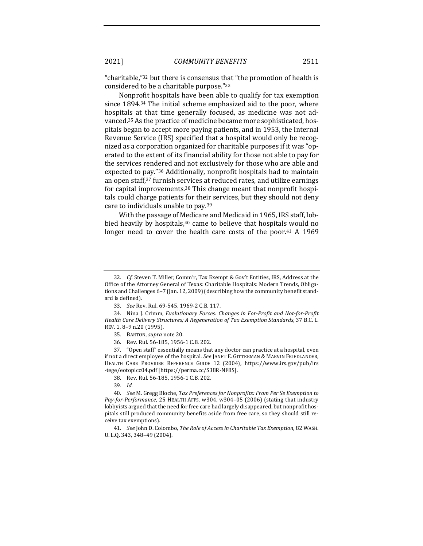"charitable,"<sup>32</sup> but there is consensus that "the promotion of health is considered to be a charitable purpose."33

Nonprofit hospitals have been able to qualify for tax exemption since  $1894.34$  The initial scheme emphasized aid to the poor, where hospitals at that time generally focused, as medicine was not advanced.<sup>35</sup> As the practice of medicine became more sophisticated, hospitals began to accept more paying patients, and in 1953, the Internal Revenue Service (IRS) specified that a hospital would only be recognized as a corporation organized for charitable purposes if it was "operated to the extent of its financial ability for those not able to pay for the services rendered and not exclusively for those who are able and expected to pay."<sup>36</sup> Additionally, nonprofit hospitals had to maintain an open staff,<sup>37</sup> furnish services at reduced rates, and utilize earnings for capital improvements.<sup>38</sup> This change meant that nonprofit hospitals could charge patients for their services, but they should not deny care to individuals unable to pay.<sup>39</sup>

With the passage of Medicare and Medicaid in 1965, IRS staff, lobbied heavily by hospitals, $40$  came to believe that hospitals would no longer need to cover the health care costs of the poor.<sup>41</sup> A 1969

38. Rev. Rul. 56-185, 1956-1 C.B. 202.

<sup>32.</sup> *Cf.* Steven T. Miller, Comm'r, Tax Exempt & Gov't Entities, IRS, Address at the Office of the Attorney General of Texas: Charitable Hospitals: Modern Trends, Obligations and Challenges 6-7 (Jan. 12, 2009) (describing how the community benefit standard is defined).

<sup>33.</sup> *See* Rev. Rul. 69-545, 1969-2 C.B. 117.

<sup>34.</sup> Nina J. Crimm, *Evolutionary Forces: Changes in For-Profit and Not-for-Profit Health Care Delivery Structures; A Regeneration of Tax Exemption Standards,* 37 B.C. L. REV. 1, 8-9 n.20 (1995).

<sup>35.</sup> BARTON, *supra* note 20.

<sup>36.</sup> Rev. Rul. 56-185, 1956-1 C.B. 202.

<sup>37. &</sup>quot;Open staff" essentially means that any doctor can practice at a hospital, even if not a direct employee of the hospital. See JANET E. GITTERMAN & MARVIN FRIEDLANDER, HEALTH CARE PROVIDER REFERENCE GUIDE 12 (2004), https://www.irs.gov/pub/irs -tege/eotopicc04.pdf [https://perma.cc/S38R-NF8S].

<sup>39.</sup> *Id.* 

<sup>40.</sup> *See* M. Gregg Bloche, Tax Preferences for Nonprofits: From Per Se Exemption to *Pay-for-Performance*, 25 HEALTH AFFS. w304, w304-05 (2006) (stating that industry lobbyists argued that the need for free care had largely disappeared, but nonprofit hospitals still produced community benefits aside from free care, so they should still receive tax exemptions).

<sup>41.</sup> *See* John D. Colombo, *The Role of Access in Charitable Tax Exemption*, 82 WASH. U.L.Q. 343, 348-49 (2004).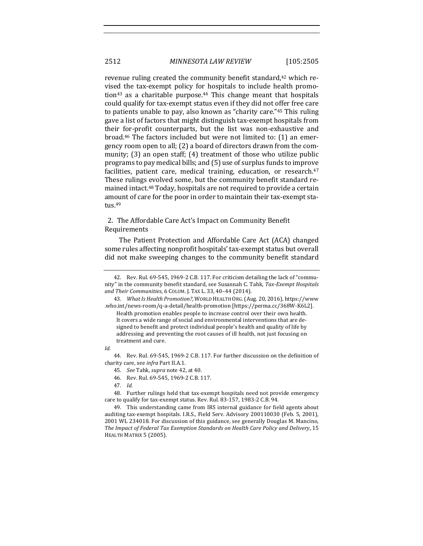revenue ruling created the community benefit standard,<sup>42</sup> which revised the tax-exempt policy for hospitals to include health promotion<sup>43</sup> as a charitable purpose.<sup>44</sup> This change meant that hospitals could qualify for tax-exempt status even if they did not offer free care to patients unable to pay, also known as "charity care." $45$  This ruling gave a list of factors that might distinguish tax-exempt hospitals from their for-profit counterparts, but the list was non-exhaustive and broad.<sup>46</sup> The factors included but were not limited to:  $(1)$  an emergency room open to all; (2) a board of directors drawn from the community;  $(3)$  an open staff;  $(4)$  treatment of those who utilize public programs to pay medical bills; and (5) use of surplus funds to improve facilities, patient care, medical training, education, or research.<sup>47</sup> These rulings evolved some, but the community benefit standard remained intact.<sup>48</sup> Today, hospitals are not required to provide a certain amount of care for the poor in order to maintain their tax-exempt status.49

## 2. The Affordable Care Act's Impact on Community Benefit Requirements

The Patient Protection and Affordable Care Act (ACA) changed some rules affecting nonprofit hospitals' tax-exempt status but overall did not make sweeping changes to the community benefit standard

*Id.*

<sup>42.</sup> Rev. Rul. 69-545, 1969-2 C.B. 117. For criticism detailing the lack of "community" in the community benefit standard, see Susannah C. Tahk, Tax-Exempt Hospitals *and Their Communities*, 6 COLUM. J. TAX L. 33, 40–44 (2014).

<sup>43.</sup> *What Is Health Promotion?*, WORLD HEALTH ORG. (Aug. 20, 2016), https://www .who.int/news-room/q-a-detail/health-promotion [https://perma.cc/368W-K6L2].

Health promotion enables people to increase control over their own health. It covers a wide range of social and environmental interventions that are designed to benefit and protect individual people's health and quality of life by addressing and preventing the root causes of ill health, not just focusing on treatment and cure.

<sup>44.</sup> Rev. Rul. 69-545, 1969-2 C.B. 117. For further discussion on the definition of charity care, see *infra* Part II.A.1.

<sup>45.</sup> *See Tahk, supra note 42, at 40.* 

<sup>46.</sup> Rev. Rul. 69-545, 1969-2 C.B. 117.

<sup>47.</sup> *Id.*

<sup>48.</sup> Further rulings held that tax-exempt hospitals need not provide emergency care to qualify for tax-exempt status. Rev. Rul. 83-157, 1983-2 C.B. 94.

<sup>49.</sup> This understanding came from IRS internal guidance for field agents about auditing tax-exempt hospitals. I.R.S., Field Serv. Advisory 200110030 (Feb. 5, 2001), 2001 WL 234018. For discussion of this guidance, see generally Douglas M. Mancino, The Impact of Federal Tax Exemption Standards on Health Care Policy and Delivery, 15 HEALTH MATRIX 5 (2005).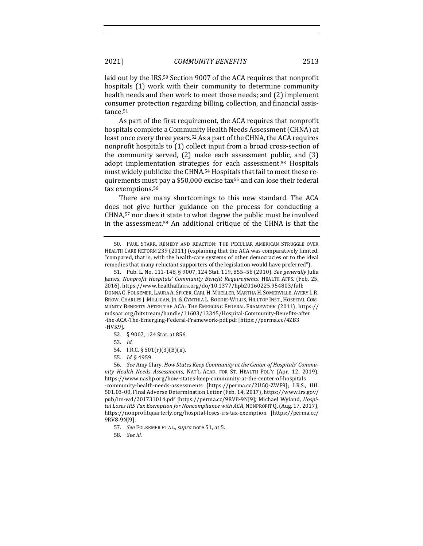laid out by the IRS.<sup>50</sup> Section 9007 of the ACA requires that nonprofit hospitals (1) work with their community to determine community health needs and then work to meet those needs; and (2) implement consumer protection regarding billing, collection, and financial assistance.<sup>51</sup>

As part of the first requirement, the ACA requires that nonprofit hospitals complete a Community Health Needs Assessment (CHNA) at least once every three years.<sup>52</sup> As a part of the CHNA, the ACA requires nonprofit hospitals to  $(1)$  collect input from a broad cross-section of the community served,  $(2)$  make each assessment public, and  $(3)$ adopt implementation strategies for each assessment.<sup>53</sup> Hospitals must widely publicize the CHNA.<sup>54</sup> Hospitals that fail to meet these requirements must pay a \$50,000 excise tax<sup>55</sup> and can lose their federal tax exemptions.<sup>56</sup>

There are many shortcomings to this new standard. The ACA does not give further guidance on the process for conducting a CHNA,<sup>57</sup> nor does it state to what degree the public must be involved in the assessment.<sup>58</sup> An additional critique of the CHNA is that the

53. *Id.* 

55. *Id.* § 4959.

56. See Amy Clary, *How States Keep Community at the Center of Hospitals' Community Health Needs Assessments*, NAT'L ACAD. FOR ST. HEALTH POL'Y (Apr. 12, 2019), https://www.nashp.org/how-states-keep-community-at-the-center-of-hospitals -community-health-needs-assessments [https://perma.cc/2UGQ-ZWF9]; I.R.S., UIL 501.03-00, Final Adverse Determination Letter (Feb. 14, 2017), https://www.irs.gov/ pub/irs-wd/201731014.pdf [https://perma.cc/9RV8-9NJ9]; Michael Wyland, *Hospital Loses IRS Tax Exemption for Noncompliance with ACA*, NONPROFIT Q. (Aug. 17, 2017), https://nonprofitquarterly.org/hospital-loses-irs-tax-exemption [https://perma.cc/ 9RV8-9NJ9].

58. *See id.* 

<sup>50.</sup> PAUL STARR, REMEDY AND REACTION: THE PECULIAR AMERICAN STRUGGLE OVER HEALTH CARE REFORM 239 (2011) (explaining that the ACA was comparatively limited, "compared, that is, with the health-care systems of other democracies or to the ideal remedies that many reluctant supporters of the legislation would have preferred").

<sup>51.</sup> Pub. L. No. 111-148, § 9007, 124 Stat. 119, 855-56 (2010). See generally Julia James, *Nonprofit Hospitals' Community Benefit Requirements*, HEALTH AFFS. (Feb. 25, 2016), https://www.healthaffairs.org/do/10.1377/hpb20160225.954803/full; DONNA C. FOLKEMER, LAURA A. SPICER, CARL H. MUELLER, MARTHA H. SOMERVILLE, AVERY L.R. BROW, CHARLES J. MILLIGAN, JR. & CYNTHIA L. BODDIE-WILLIS, HILLTOP INST., HOSPITAL COM-MUNITY BENEFITS AFTER THE ACA: THE EMERGING FEDERAL FRAMEWORK (2011), https:// mdsoar.org/bitstream/handle/11603/13345/Hospital-Community-Benefits-after -the-ACA-The-Emerging-Federal-Framework-pdf.pdf [https://perma.cc/4ZB3 -HVK9].

<sup>52. § 9007, 124</sup> Stat. at 856.

<sup>54.</sup> I.R.C. § 501(r)(3)(B)(ii).

<sup>57.</sup> *See FOLKEMER ET AL., supra note* 51, at 5.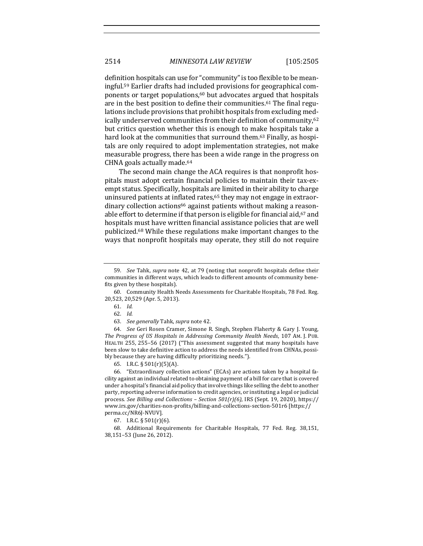definition hospitals can use for "community" is too flexible to be meaningful.<sup>59</sup> Earlier drafts had included provisions for geographical components or target populations,<sup>60</sup> but advocates argued that hospitals are in the best position to define their communities.<sup>61</sup> The final regulations include provisions that prohibit hospitals from excluding medically underserved communities from their definition of community,<sup>62</sup> but critics question whether this is enough to make hospitals take a hard look at the communities that surround them.<sup>63</sup> Finally, as hospitals are only required to adopt implementation strategies, not make measurable progress, there has been a wide range in the progress on CHNA goals actually made.<sup>64</sup>

The second main change the ACA requires is that nonprofit hospitals must adopt certain financial policies to maintain their tax-exempt status. Specifically, hospitals are limited in their ability to charge uninsured patients at inflated rates, $65$  they may not engage in extraordinary collection actions<sup>66</sup> against patients without making a reasonable effort to determine if that person is eligible for financial aid,  $67$  and hospitals must have written financial assistance policies that are well publicized.<sup>68</sup> While these regulations make important changes to the ways that nonprofit hospitals may operate, they still do not require

60. Community Health Needs Assessments for Charitable Hospitals, 78 Fed. Reg. 20,523, 20,529 (Apr. 5, 2013).

64. *See* Geri Rosen Cramer, Simone R. Singh, Stephen Flaherty & Gary J. Young, The Progress of US Hospitals in Addressing Community Health Needs, 107 AM. J. PUB. HEALTH 255, 255-56 (2017) ("This assessment suggested that many hospitals have been slow to take definitive action to address the needs identified from CHNAs, possibly because they are having difficulty prioritizing needs.").

65. I.R.C.  $\S 501(r)(5)(A)$ .

66. "Extraordinary collection actions" (ECAs) are actions taken by a hospital facility against an individual related to obtaining payment of a bill for care that is covered under a hospital's financial aid policy that involve things like selling the debt to another party, reporting adverse information to credit agencies, or instituting a legal or judicial process. See Billing and Collections - Section 501(r)(6), IRS (Sept. 19, 2020), https:// www.irs.gov/charities-non-profits/billing-and-collections-section-501r6 [https:// perma.cc/NR6J-NVUV].

67. I.R.C.  $\S 501(r)(6)$ .

68. Additional Requirements for Charitable Hospitals, 77 Fed. Reg. 38,151, 38,151-53 (June 26, 2012).

<sup>59.</sup> *See* Tahk, *supra* note 42, at 79 (noting that nonprofit hospitals define their communities in different ways, which leads to different amounts of community benefits given by these hospitals).

<sup>61.</sup> *Id.* 

<sup>62.</sup> *Id.* 

<sup>63.</sup> *See generally* Tahk, *supra* note 42.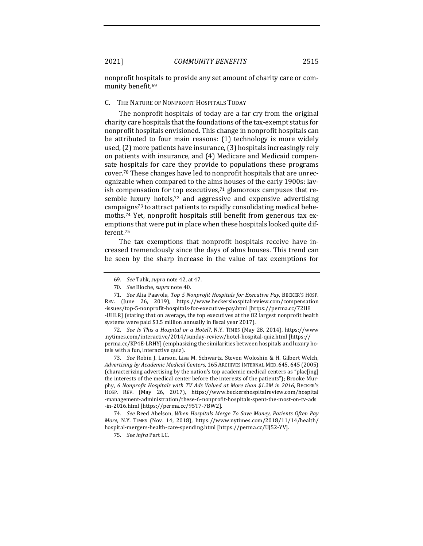nonprofit hospitals to provide any set amount of charity care or community benefit.<sup>69</sup>

#### C. THE NATURE OF NONPROFIT HOSPITALS TODAY

The nonprofit hospitals of today are a far cry from the original charity care hospitals that the foundations of the tax-exempt status for nonprofit hospitals envisioned. This change in nonprofit hospitals can be attributed to four main reasons:  $(1)$  technology is more widely used,  $(2)$  more patients have insurance,  $(3)$  hospitals increasingly rely on patients with insurance, and (4) Medicare and Medicaid compensate hospitals for care they provide to populations these programs cover.<sup>70</sup> These changes have led to nonprofit hospitals that are unrecognizable when compared to the alms houses of the early 1900s: lavish compensation for top executives, $71$  glamorous campuses that resemble luxury hotels,<sup>72</sup> and aggressive and expensive advertising campaigns<sup>73</sup> to attract patients to rapidly consolidating medical behemoths.<sup>74</sup> Yet, nonprofit hospitals still benefit from generous tax exemptions that were put in place when these hospitals looked quite different.75

The tax exemptions that nonprofit hospitals receive have increased tremendously since the days of alms houses. This trend can be seen by the sharp increase in the value of tax exemptions for

72. *See Is This a Hospital or a Hotel?*, N.Y. TIMES (May 28, 2014), https://www .nytimes.com/interactive/2014/sunday-review/hotel-hospital-quiz.html [https:// perma.cc/KP4E-LRHY] (emphasizing the similarities between hospitals and luxury hotels with a fun, interactive quiz).

73. *See* Robin J. Larson, Lisa M. Schwartz, Steven Woloshin & H. Gilbert Welch, *Advertising by Academic Medical Centers*, 165 ARCHIVES INTERNAL MED.645, 645 (2005) (characterizing advertising by the nation's top academic medical centers as "plac[ing] the interests of the medical center before the interests of the patients"); Brooke Murphy, 6 Nonprofit Hospitals with TV Ads Valued at More than \$1.2M in 2016, BECKER'S HOSP. REV. (May 26, 2017), https://www.beckershospitalreview.com/hospital -management-administration/these-6-nonprofit-hospitals-spent-the-most-on-tv-ads -in-2016.html [https://perma.cc/95T7-7BW2].

74. See Reed Abelson, When Hospitals Merge To Save Money, Patients Often Pay *More*, N.Y. TIMES (Nov. 14, 2018), https://www.nytimes.com/2018/11/14/health/ hospital-mergers-health-care-spending.html [https://perma.cc/UJ52-YV].

<sup>69.</sup> *See* Tahk, *supra* note 42, at 47.

<sup>70.</sup> *See Bloche, supra note* 40.

<sup>71.</sup> *See* Alia Paavola, *Top 5 Nonprofit Hospitals for Executive Pay*, BECKER'S HOSP. REV. (June 26, 2019), https://www.beckershospitalreview.com/compensation -issues/top-5-nonprofit-hospitals-for-executive-pay.html [https://perma.cc/72H8 -UHLR] (stating that on average, the top executives at the 82 largest nonprofit health systems were paid \$3.5 million annually in fiscal year 2017).

<sup>75.</sup> *See infra* Part I.C.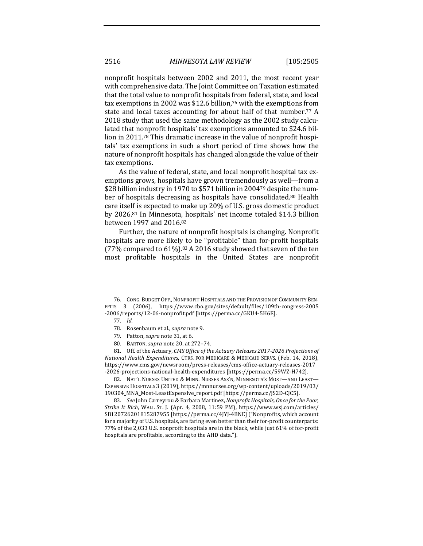nonprofit hospitals between 2002 and 2011, the most recent year with comprehensive data. The Joint Committee on Taxation estimated that the total value to nonprofit hospitals from federal, state, and local tax exemptions in 2002 was \$12.6 billion,<sup>76</sup> with the exemptions from state and local taxes accounting for about half of that number.<sup>77</sup> A 2018 study that used the same methodology as the 2002 study calculated that nonprofit hospitals' tax exemptions amounted to \$24.6 billion in 2011.<sup>78</sup> This dramatic increase in the value of nonprofit hospitals' tax exemptions in such a short period of time shows how the nature of nonprofit hospitals has changed alongside the value of their tax exemptions.

As the value of federal, state, and local nonprofit hospital tax exemptions grows, hospitals have grown tremendously as well—from a \$28 billion industry in 1970 to \$571 billion in 2004<sup>79</sup> despite the number of hospitals decreasing as hospitals have consolidated.<sup>80</sup> Health care itself is expected to make up 20% of U.S. gross domestic product by 2026.<sup>81</sup> In Minnesota, hospitals' net income totaled \$14.3 billion between 1997 and 2016.82

Further, the nature of nonprofit hospitals is changing. Nonprofit hospitals are more likely to be "profitable" than for-profit hospitals  $(77\%$  compared to 61%).<sup>83</sup> A 2016 study showed that seven of the ten most profitable hospitals in the United States are nonprofit

81. Off. of the Actuary, *CMS Office of the Actuary Releases 2017-2026 Projections of National Health Expenditures*, CTRS. FOR MEDICARE & MEDICAID SERVS. (Feb. 14, 2018), https://www.cms.gov/newsroom/press-releases/cms-office-actuary-releases-2017 -2026-projections-national-health-expenditures [https://perma.cc/59WZ-H742].

82. NAT'L NURSES UNITED & MINN. NURSES ASS'N, MINNESOTA'S MOST-AND LEAST-EXPENSIVE HOSPITALS 3 (2019), https://mnnurses.org/wp-content/uploads/2019/03/ 190304\_MNA\_Most-LeastExpensive\_report.pdf [https://perma.cc/JS2D-CJC5].

83. *See* John Carreyrou & Barbara Martinez, *Nonprofit Hospitals, Once for the Poor, Strike It Rich*, WALL ST. J. (Apr. 4, 2008, 11:59 PM), https://www.wsj.com/articles/ SB120726201815287955 [https://perma.cc/4JYJ-4BNE] ("Nonprofits, which account for a majority of U.S. hospitals, are faring even better than their for-profit counterparts: 77% of the 2,033 U.S. nonprofit hospitals are in the black, while just 61% of for-profit hospitals are profitable, according to the AHD data.").

<sup>76.</sup> CONG. BUDGET OFF., NONPROFIT HOSPITALS AND THE PROVISION OF COMMUNITY BEN-EFITS 3 (2006), https://www.cbo.gov/sites/default/files/109th-congress-2005 -2006/reports/12-06-nonprofit.pdf [https://perma.cc/GKU4-5H6E].

<sup>77.</sup> *Id.* 

<sup>78.</sup> Rosenbaum et al., *supra* note 9.

<sup>79.</sup> Patton, *supra* note 31, at 6.

<sup>80.</sup> BARTON, *supra* note 20, at 272-74.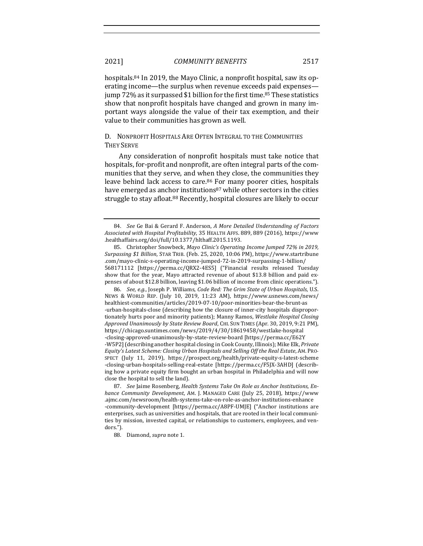hospitals.<sup>84</sup> In 2019, the Mayo Clinic, a nonprofit hospital, saw its operating income—the surplus when revenue exceeds paid expenses jump 72% as it surpassed \$1 billion for the first time.<sup>85</sup> These statistics show that nonprofit hospitals have changed and grown in many important ways alongside the value of their tax exemption, and their value to their communities has grown as well.

D. NONPROFIT HOSPITALS ARE OFTEN INTEGRAL TO THE COMMUNITIES **THEY SERVE** 

Any consideration of nonprofit hospitals must take notice that hospitals, for-profit and nonprofit, are often integral parts of the communities that they serve, and when they close, the communities they leave behind lack access to care.<sup>86</sup> For many poorer cities, hospitals have emerged as anchor institutions $87$  while other sectors in the cities struggle to stay afloat.<sup>88</sup> Recently, hospital closures are likely to occur

86. *See, e.g.*, Joseph P. Williams, *Code Red: The Grim State of Urban Hospitals*, U.S. NEWS & WORLD REP. (July 10, 2019, 11:23 AM), https://www.usnews.com/news/ healthiest-communities/articles/2019-07-10/poor-minorities-bear-the-brunt-as -urban-hospitals-close (describing how the closure of inner-city hospitals disproportionately hurts poor and minority patients); Manny Ramos, *Westlake Hospital Closing Approved Unanimously by State Review Board, CHI. SUN TIMES (Apr. 30, 2019, 9:21 PM),* https://chicago.suntimes.com/news/2019/4/30/18619458/westlake-hospital -closing-approved-unanimously-by-state-review-board [https://perma.cc/E62Y -W5P2] (describing another hospital closing in Cook County, Illinois); Mike Elk, Private *Equity's Latest Scheme: Closing Urban Hospitals and Selling Off the Real Estate, AM. PRO-*SPECT (July 11, 2019), https://prospect.org/health/private-equity-s-latest-scheme -closing-urban-hospitals-selling-real-estate [https://perma.cc/F5JX-3AHD] (describing how a private equity firm bought an urban hospital in Philadelphia and will now close the hospital to sell the land).

87. See Jaime Rosenberg, *Health Systems Take On Role as Anchor Institutions, Enhance Community Development*, AM. J. MANAGED CARE (July 25, 2018), https://www .ajmc.com/newsroom/health-systems-take-on-role-as-anchor-institutions-enhance -community-development [https://perma.cc/A8PF-UMJE] ("Anchor institutions are enterprises, such as universities and hospitals, that are rooted in their local communities by mission, invested capital, or relationships to customers, employees, and vendors.").

88. Diamond, *supra* note 1.

<sup>84.</sup> *See* Ge Bai & Gerard F. Anderson, *A More Detailed Understanding of Factors Associated with Hospital Profitability*, 35 HEALTH AFFS. 889, 889 (2016), https://www .healthaffairs.org/doi/full/10.1377/hlthaff.2015.1193.

<sup>85.</sup> Christopher Snowbeck, Mayo Clinic's Operating Income Jumped 72% in 2019, *Surpassing \$1 Billion*, STAR TRIB. (Feb. 25, 2020, 10:06 PM), https://www.startribune .com/mayo-clinic-s-operating-income-jumped-72-in-2019-surpassing-1-billion/ 568171112 [https://perma.cc/QRX2-4ES5] ("Financial results released Tuesday show that for the year, Mayo attracted revenue of about \$13.8 billion and paid expenses of about \$12.8 billion, leaving \$1.06 billion of income from clinic operations.").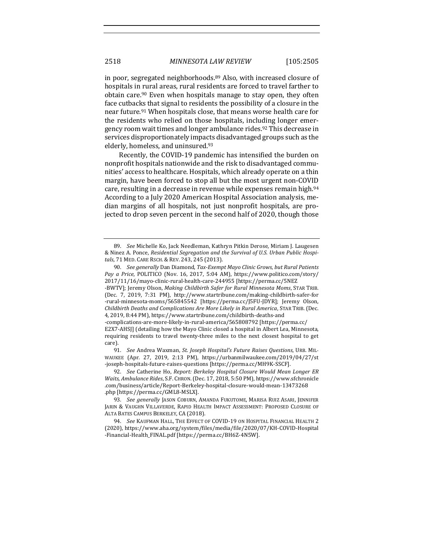in poor, segregated neighborhoods. $89$  Also, with increased closure of hospitals in rural areas, rural residents are forced to travel farther to obtain care.<sup>90</sup> Even when hospitals manage to stay open, they often face cutbacks that signal to residents the possibility of a closure in the near future.<sup>91</sup> When hospitals close, that means worse health care for the residents who relied on those hospitals, including longer emergency room wait times and longer ambulance rides.<sup>92</sup> This decrease in services disproportionately impacts disadvantaged groups such as the elderly, homeless, and uninsured.<sup>93</sup>

Recently, the COVID-19 pandemic has intensified the burden on nonprofit hospitals nationwide and the risk to disadvantaged communities' access to healthcare. Hospitals, which already operate on a thin margin, have been forced to stop all but the most urgent non-COVID care, resulting in a decrease in revenue while expenses remain high.<sup>94</sup> According to a July 2020 American Hospital Association analysis, median margins of all hospitals, not just nonprofit hospitals, are projected to drop seven percent in the second half of 2020, though those

-rural-minnesota-moms/565845542 [https://perma.cc/J5FU-JDYR]; Jeremy Olson, *Childbirth Deaths and Complications Are More Likely in Rural America,* STAR TRIB. (Dec. 4, 2019, 8:44 PM), https://www.startribune.com/childbirth-deaths-and

91. *See* Andrea Waxman, *St. Joseph Hospital's Future Raises Questions*, URB. MIL-WAUKEE (Apr. 27, 2019, 2:13 PM), https://urbanmilwaukee.com/2019/04/27/st -joseph-hospitals-future-raises-questions [https://perma.cc/MH9K-SSCF].

92. *See* Catherine Ho, *Report: Berkeley Hospital Closure Would Mean Longer ER* Waits, Ambulance Rides, S.F. CHRON. (Dec. 17, 2018, 5:50 PM), https://www.sfchronicle .com/business/article/Report-Berkeley-hospital-closure-would-mean-13473268 .php [https://perma.cc/GML8-MSLX].

93. *See generally* JASON COBURN, AMANDA FUKUTOME, MARISA RUIZ ASARI, JENNIFER JARIN & VAUGHN VILLAVERDE, RAPID HEALTH IMPACT ASSESSMENT: PROPOSED CLOSURE OF ALTA BATES CAMPUS BERKELEY, CA (2018).

94. *See* KAUFMAN HALL, THE EFFECT OF COVID-19 ON HOSPITAL FINANCIAL HEALTH 2 (2020), https://www.aha.org/system/files/media/file/2020/07/KH-COVID-Hospital -Financial-Health\_FINAL.pdf [https://perma.cc/BH6Z-4N5W].

<sup>89.</sup> *See* Michelle Ko, Jack Needleman, Kathryn Pitkin Derose, Miriam J. Laugesen & Ninez A. Ponce, *Residential Segregation and the Survival of U.S. Urban Public Hospitals*, 71 MED. CARE RSCH. & REV. 243, 245 (2013).

<sup>90.</sup> *See generally* Dan Diamond, *Tax-Exempt Mayo Clinic Grows, but Rural Patients Pay a Price*, POLITICO (Nov. 16, 2017, 5:04 AM), https://www.politico.com/story/ 2017/11/16/mayo-clinic-rural-health-care-244955 [https://perma.cc/5NEZ -BWTV]; Jeremy Olson, *Making Childbirth Safer for Rural Minnesota Moms*, STAR TRIB. (Dec. 7, 2019, 7:31 PM), http://www.startribune.com/making-childbirth-safer-for

<sup>-</sup>complications-are-more-likely-in-rural-america/565808792 [https://perma.cc/ E2X7-AHSJ] (detailing how the Mayo Clinic closed a hospital in Albert Lea, Minnesota, requiring residents to travel twenty-three miles to the next closest hospital to get care).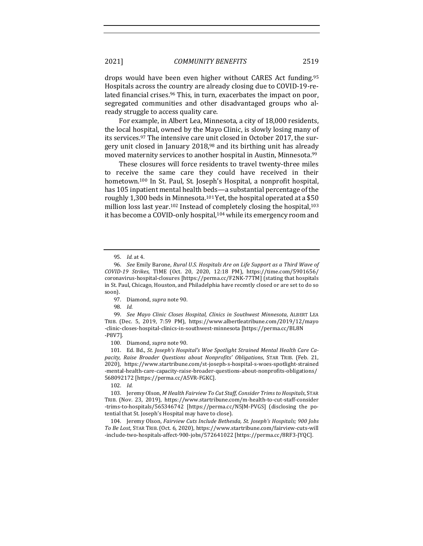2021] *COMMUNITY BENEFITS* 2519

drops would have been even higher without CARES Act funding.<sup>95</sup> Hospitals across the country are already closing due to COVID-19-related financial crises.<sup>96</sup> This, in turn, exacerbates the impact on poor, segregated communities and other disadvantaged groups who already struggle to access quality care.

For example, in Albert Lea, Minnesota, a city of 18,000 residents, the local hospital, owned by the Mayo Clinic, is slowly losing many of its services.<sup>97</sup> The intensive care unit closed in October 2017, the surgery unit closed in January  $2018<sup>98</sup>$  and its birthing unit has already moved maternity services to another hospital in Austin, Minnesota.99

These closures will force residents to travel twenty-three miles to receive the same care they could have received in their hometown.<sup>100</sup> In St. Paul, St. Joseph's Hospital, a nonprofit hospital, has 105 inpatient mental health beds-a substantial percentage of the roughly 1,300 beds in Minnesota.<sup>101</sup> Yet, the hospital operated at a \$50 million loss last year.<sup>102</sup> Instead of completely closing the hospital,<sup>103</sup> it has become a COVID-only hospital,<sup>104</sup> while its emergency room and

99. *See Mayo Clinic Closes Hospital, Clinics in Southwest Minnesota, ALBERT LEA* TRIB. (Dec. 5, 2019, 7:59 PM), https://www.albertleatribune.com/2019/12/mayo -clinic-closes-hospital-clinics-in-southwest-minnesota [https://perma.cc/BL8N -P8V7]. 

100. Diamond, *supra* note 90.

101. Ed. Bd., St. Joseph's Hospital's Woe Spotlight Strained Mental Health Care Ca*pacity, Raise Broader Questions about Nonprofits' Obligations*, STAR TRIB. (Feb. 21, 2020), https://www.startribune.com/st-joseph-s-hospital-s-woes-spotlight-strained -mental-health-care-capacity-raise-broader-questions-about-nonprofits-obligations/ 568092172 [https://perma.cc/A5VR-FGKC].

103. Jeremy Olson, *M* Health Fairview To Cut Staff, Consider Trims to Hospitals, STAR TRIB. (Nov. 23, 2019), https://www.startribune.com/m-health-to-cut-staff-consider -trims-to-hospitals/565346742 [https://perma.cc/N5JM-PVGS] (disclosing the potential that St. Joseph's Hospital may have to close).

104. Jeremy Olson, *Fairview Cuts Include Bethesda, St. Joseph's Hospitals; 900 Jobs To Be Lost*, STAR TRIB. (Oct. 6, 2020), https://www.startribune.com/fairview-cuts-will -include-two-hospitals-affect-900-jobs/572641022 [https://perma.cc/8RF3-JYQC]. 

<sup>95.</sup> *Id.* at 4.

<sup>96.</sup> *See Emily Barone, Rural U.S. Hospitals Are on Life Support as a Third Wave of COVID-19 Strikes*, TIME (Oct. 20, 2020, 12:18 PM), https://time.com/5901656/ coronavirus-hospital-closures [https://perma.cc/F2NK-77TM] (stating that hospitals in St. Paul, Chicago, Houston, and Philadelphia have recently closed or are set to do so soon).

<sup>97.</sup> Diamond, *supra* note 90. 

<sup>98.</sup> Id.

<sup>102.</sup> *Id.*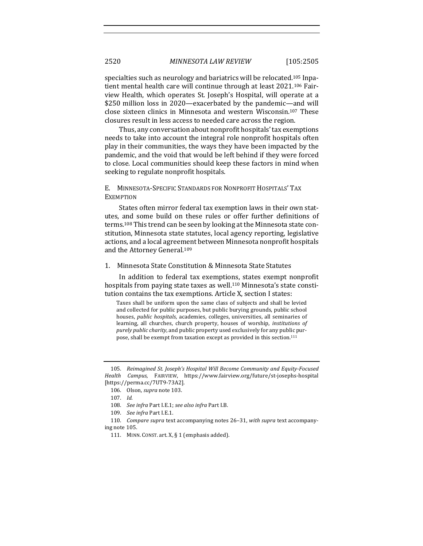specialties such as neurology and bariatrics will be relocated.<sup>105</sup> Inpatient mental health care will continue through at least 2021.<sup>106</sup> Fairview Health, which operates St. Joseph's Hospital, will operate at a \$250 million loss in 2020—exacerbated by the pandemic—and will close sixteen clinics in Minnesota and western Wisconsin.<sup>107</sup> These closures result in less access to needed care across the region.

Thus, any conversation about nonprofit hospitals' tax exemptions needs to take into account the integral role nonprofit hospitals often play in their communities, the ways they have been impacted by the pandemic, and the void that would be left behind if they were forced to close. Local communities should keep these factors in mind when seeking to regulate nonprofit hospitals.

## E. MINNESOTA-SPECIFIC STANDARDS FOR NONPROFIT HOSPITALS' TAX **EXEMPTION**

States often mirror federal tax exemption laws in their own statutes, and some build on these rules or offer further definitions of terms.<sup>108</sup> This trend can be seen by looking at the Minnesota state constitution, Minnesota state statutes, local agency reporting, legislative actions, and a local agreement between Minnesota nonprofit hospitals and the Attorney General.<sup>109</sup>

## 1. Minnesota State Constitution & Minnesota State Statutes

In addition to federal tax exemptions, states exempt nonprofit hospitals from paying state taxes as well.<sup>110</sup> Minnesota's state constitution contains the tax exemptions. Article X, section I states:

Taxes shall be uniform upon the same class of subjects and shall be levied and collected for public purposes, but public burying grounds, public school houses, *public hospitals*, academies, colleges, universities, all seminaries of learning, all churches, church property, houses of worship, *institutions* of *purely public charity*, and public property used exclusively for any public purpose, shall be exempt from taxation except as provided in this section.<sup>111</sup>

<sup>105.</sup> Reimagined St. Joseph's Hospital Will Become Community and Equity-Focused *Health Campus*, FAIRVIEW, https://www.fairview.org/future/st-josephs-hospital [https://perma.cc/7UT9-73A2].

<sup>106.</sup> Olson, *supra* note 103.

<sup>107.</sup> *Id.* 

<sup>108.</sup> *See infra* Part I.E.1; see also infra Part I.B.

<sup>109.</sup> *See infra* Part I.E.1.

<sup>110.</sup> Compare supra text accompanying notes 26-31, with supra text accompanying note 105.

<sup>111.</sup> MINN. CONST. art.  $X$ ,  $\S$  1 (emphasis added).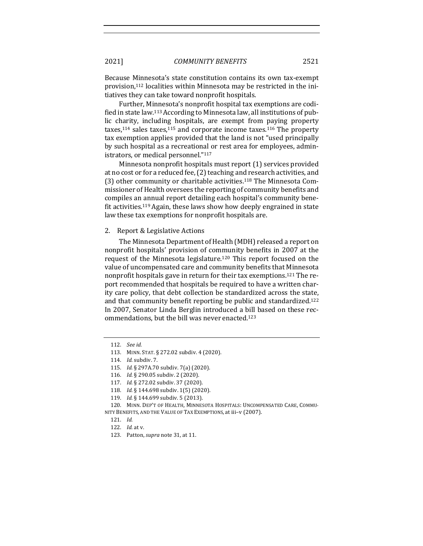Because Minnesota's state constitution contains its own tax-exempt provision,<sup>112</sup> localities within Minnesota may be restricted in the initiatives they can take toward nonprofit hospitals.

Further, Minnesota's nonprofit hospital tax exemptions are codified in state law.<sup>113</sup> According to Minnesota law, all institutions of public charity, including hospitals, are exempt from paying property taxes, $114$  sales taxes, $115$  and corporate income taxes. $116$  The property tax exemption applies provided that the land is not "used principally by such hospital as a recreational or rest area for employees, administrators, or medical personnel."117

Minnesota nonprofit hospitals must report (1) services provided at no cost or for a reduced fee, (2) teaching and research activities, and (3) other community or charitable activities.<sup>118</sup> The Minnesota Commissioner of Health oversees the reporting of community benefits and compiles an annual report detailing each hospital's community benefit activities.<sup>119</sup> Again, these laws show how deeply engrained in state law these tax exemptions for nonprofit hospitals are.

#### 2. Report & Legislative Actions

The Minnesota Department of Health (MDH) released a report on nonprofit hospitals' provision of community benefits in 2007 at the request of the Minnesota legislature.<sup>120</sup> This report focused on the value of uncompensated care and community benefits that Minnesota nonprofit hospitals gave in return for their tax exemptions.<sup>121</sup> The report recommended that hospitals be required to have a written charity care policy, that debt collection be standardized across the state, and that community benefit reporting be public and standardized.<sup>122</sup> In 2007, Senator Linda Berglin introduced a bill based on these recommendations, but the bill was never enacted.<sup>123</sup>

<sup>112.</sup> *See id.*

<sup>113.</sup> MINN. STAT. § 272.02 subdiv. 4 (2020).

<sup>114.</sup> *Id.* subdiv. 7.

<sup>115.</sup> *Id.* § 297A.70 subdiv. 7(a) (2020).

<sup>116.</sup> *Id.* § 290.05 subdiv. 2 (2020).

<sup>117.</sup> *Id.* § 272.02 subdiv. 37 (2020).

<sup>118.</sup> *Id.* § 144.698 subdiv. 1(5) (2020).

<sup>119.</sup> *Id.* § 144.699 subdiv. 5 (2013).

<sup>120.</sup> MINN. DEP'T OF HEALTH, MINNESOTA HOSPITALS: UNCOMPENSATED CARE, COMMU-NITY BENEFITS, AND THE VALUE OF TAX EXEMPTIONS, at iii-v (2007).

<sup>121.</sup> *Id.* 

<sup>122.</sup> *Id.* at v.

<sup>123.</sup> Patton, *supra* note 31, at 11.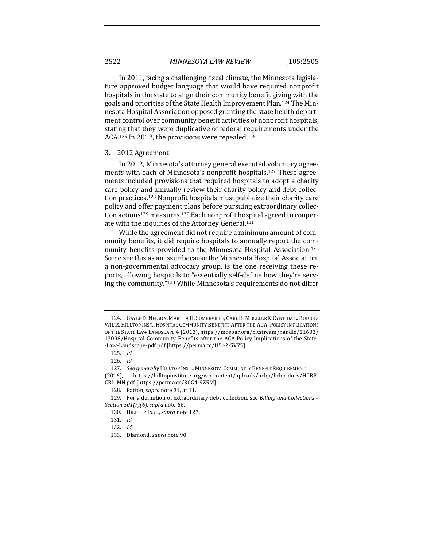In 2011, facing a challenging fiscal climate, the Minnesota legislature approved budget language that would have required nonprofit hospitals in the state to align their community benefit giving with the goals and priorities of the State Health Improvement Plan.<sup>124</sup> The Minnesota Hospital Association opposed granting the state health department control over community benefit activities of nonprofit hospitals, stating that they were duplicative of federal requirements under the ACA.<sup>125</sup> In 2012, the provisions were repealed.<sup>126</sup>

#### 3. 2012 Agreement

In 2012, Minnesota's attorney general executed voluntary agreements with each of Minnesota's nonprofit hospitals.<sup>127</sup> These agreements included provisions that required hospitals to adopt a charity care policy and annually review their charity policy and debt collection practices.<sup>128</sup> Nonprofit hospitals must publicize their charity care policy and offer payment plans before pursuing extraordinary collection actions<sup>129</sup> measures.<sup>130</sup> Each nonprofit hospital agreed to cooperate with the inquiries of the Attorney General.<sup>131</sup>

While the agreement did not require a minimum amount of community benefits, it did require hospitals to annually report the community benefits provided to the Minnesota Hospital Association.<sup>132</sup> Some see this as an issue because the Minnesota Hospital Association, a non-governmental advocacy group, is the one receiving these reports, allowing hospitals to "essentially self-define how they're serving the community."133 While Minnesota's requirements do not differ

(2016), https://hilltopinstitute.org/wp-content/uploads/hcbp/hcbp\_docs/HCBP\_ CBL\_MN.pdf [https://perma.cc/3CG4-9Z5M].

<sup>124.</sup> GAYLE D. NELSON, MARTHA H. SOMERVILLE, CARL H. MUELLER & CYNTHIA L. BODDIE-WILLS, HILLTOP INST., HOSPITAL COMMUNITY BENEFITS AFTER THE ACA: POLICY IMPLICATIONS OF THE STATE LAW LANDSCAPE 4 (2013), https://mdsoar.org/bitstream/handle/11603/ 13098/Hospital-Community-Benefits-after-the-ACA-Policy-Implications-of-the-State -Law-Landscape-pdf.pdf [https://perma.cc/U542-5V75].

<sup>125.</sup> *Id.* 

<sup>126.</sup> *Id.* 

<sup>127.</sup> See generally HILLTOP INST., MINNESOTA COMMUNITY BENEFIT REQUIREMENT

<sup>128.</sup> Patton, *supra* note 31, at 11.

<sup>129.</sup> For a definition of extraordinary debt collection, see *Billing and Collections* -*Section*  $501(r)(6)$ *, supra* note 66.

<sup>130.</sup> HILLTOP INST., supra note 127.

<sup>131.</sup> *Id.* 

<sup>132.</sup> *Id.* 

<sup>133.</sup> Diamond, *supra* note 90.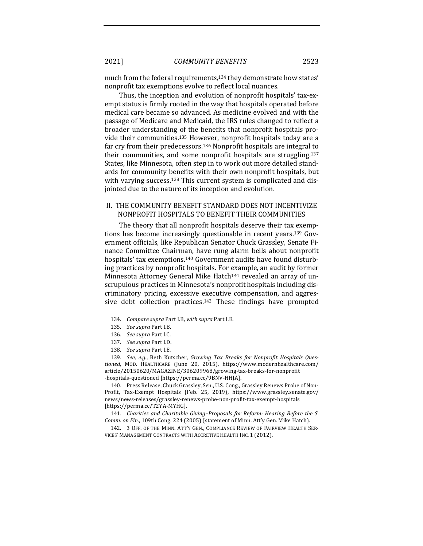much from the federal requirements,<sup>134</sup> they demonstrate how states' nonprofit tax exemptions evolve to reflect local nuances.

Thus, the inception and evolution of nonprofit hospitals' tax-exempt status is firmly rooted in the way that hospitals operated before medical care became so advanced. As medicine evolved and with the passage of Medicare and Medicaid, the IRS rules changed to reflect a broader understanding of the benefits that nonprofit hospitals provide their communities.<sup>135</sup> However, nonprofit hospitals today are a far cry from their predecessors.<sup>136</sup> Nonprofit hospitals are integral to their communities, and some nonprofit hospitals are struggling.<sup>137</sup> States, like Minnesota, often step in to work out more detailed standards for community benefits with their own nonprofit hospitals, but with varying success.<sup>138</sup> This current system is complicated and disjointed due to the nature of its inception and evolution.

## II. THE COMMUNITY BENEFIT STANDARD DOES NOT INCENTIVIZE NONPROFIT HOSPITALS TO BENEFIT THEIR COMMUNITIES

The theory that all nonprofit hospitals deserve their tax exemptions has become increasingly questionable in recent years.<sup>139</sup> Government officials, like Republican Senator Chuck Grassley, Senate Finance Committee Chairman, have rung alarm bells about nonprofit hospitals' tax exemptions.<sup>140</sup> Government audits have found disturbing practices by nonprofit hospitals. For example, an audit by former Minnesota Attorney General Mike Hatch<sup>141</sup> revealed an array of unscrupulous practices in Minnesota's nonprofit hospitals including discriminatory pricing, excessive executive compensation, and aggressive debt collection practices.<sup>142</sup> These findings have prompted

140. Press Release, Chuck Grassley, Sen., U.S. Cong., Grassley Renews Probe of Non-Profit, Tax-Exempt Hospitals (Feb. 25, 2019), https://www.grassley.senate.gov/ news/news-releases/grassley-renews-probe-non-profit-tax-exempt-hospitals [https://perma.cc/T2YA-MYHG]. 

141. *Charities and Charitable Giving-Proposals for Reform: Hearing Before the S. Comm. on Fin.*, 109th Cong. 224 (2005) (statement of Minn. Att'y Gen. Mike Hatch).

142. 3 OFF. OF THE MINN. ATT'Y GEN., COMPLIANCE REVIEW OF FAIRVIEW HEALTH SER-VICES' MANAGEMENT CONTRACTS WITH ACCRETIVE HEALTH INC. 1 (2012).

<sup>134.</sup> *Compare supra Part I.B, with supra Part I.E.* 

<sup>135.</sup> *See supra Part I.B.* 

<sup>136.</sup> *See supra Part I.C.* 

<sup>137.</sup> *See supra Part I.D.* 

<sup>138.</sup> See supra Part I.E.

<sup>139.</sup> See, e.g., Beth Kutscher, Growing Tax Breaks for Nonprofit Hospitals Ques*tioned*, MOD. HEALTHCARE (June 20, 2015), https://www.modernhealthcare.com/ article/20150620/MAGAZINE/306209968/growing-tax-breaks-for-nonprofit -hospitals-questioned [https://perma.cc/9BNV-HHJA].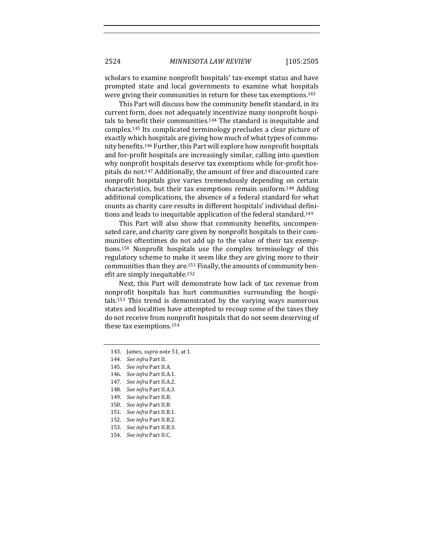scholars to examine nonprofit hospitals' tax-exempt status and have prompted state and local governments to examine what hospitals were giving their communities in return for these tax exemptions.<sup>143</sup>

This Part will discuss how the community benefit standard, in its current form, does not adequately incentivize many nonprofit hospitals to benefit their communities.<sup>144</sup> The standard is inequitable and complex.<sup>145</sup> Its complicated terminology precludes a clear picture of exactly which hospitals are giving how much of what types of community benefits.<sup>146</sup> Further, this Part will explore how nonprofit hospitals and for-profit hospitals are increasingly similar, calling into question why nonprofit hospitals deserve tax exemptions while for-profit hospitals do not.<sup>147</sup> Additionally, the amount of free and discounted care nonprofit hospitals give varies tremendously depending on certain characteristics, but their tax exemptions remain uniform.<sup>148</sup> Adding additional complications, the absence of a federal standard for what counts as charity care results in different hospitals' individual definitions and leads to inequitable application of the federal standard.<sup>149</sup>

This Part will also show that community benefits, uncompensated care, and charity care given by nonprofit hospitals to their communities oftentimes do not add up to the value of their tax exemptions.<sup>150</sup> Nonprofit hospitals use the complex terminology of this regulatory scheme to make it seem like they are giving more to their communities than they are.<sup>151</sup> Finally, the amounts of community benefit are simply inequitable.<sup>152</sup>

Next, this Part will demonstrate how lack of tax revenue from nonprofit hospitals has hurt communities surrounding the hospitals.<sup>153</sup> This trend is demonstrated by the varying ways numerous states and localities have attempted to recoup some of the taxes they do not receive from nonprofit hospitals that do not seem deserving of these tax exemptions.<sup>154</sup>

- 146. *See infra Part II.A.1.*
- 147. *See infra Part II.A.2.*
- 148. *See infra Part II.A.3.*
- 149. *See infra Part II.B.*
- 150. *See infra Part II.B.*
- 151. *See infra* Part II.B.1.
- 152. *See infra Part II.B.2.*
- 153. See infra Part II.B.3.
- 154. *See infra Part II.C.*

<sup>143.</sup> James, *supra* note 51, at 1.

<sup>144.</sup> *See infra Part II.* 

<sup>145.</sup> *See infra Part II.A.*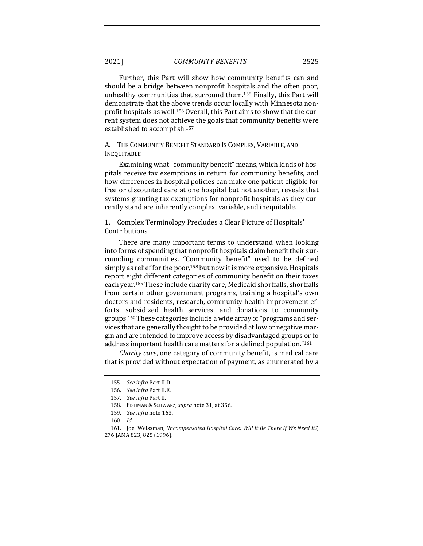2021] *COMMUNITY BENEFITS* 2525

Further, this Part will show how community benefits can and should be a bridge between nonprofit hospitals and the often poor, unhealthy communities that surround them.<sup>155</sup> Finally, this Part will demonstrate that the above trends occur locally with Minnesota nonprofit hospitals as well.<sup>156</sup> Overall, this Part aims to show that the current system does not achieve the goals that community benefits were established to accomplish.<sup>157</sup>

A. THE COMMUNITY BENEFIT STANDARD IS COMPLEX, VARIABLE, AND INEQUITABLE

Examining what "community benefit" means, which kinds of hospitals receive tax exemptions in return for community benefits, and how differences in hospital policies can make one patient eligible for free or discounted care at one hospital but not another, reveals that systems granting tax exemptions for nonprofit hospitals as they currently stand are inherently complex, variable, and inequitable.

1. Complex Terminology Precludes a Clear Picture of Hospitals' Contributions 

There are many important terms to understand when looking into forms of spending that nonprofit hospitals claim benefit their surrounding communities. "Community benefit" used to be defined simply as relief for the poor,  $158$  but now it is more expansive. Hospitals report eight different categories of community benefit on their taxes each year.<sup>159</sup> These include charity care, Medicaid shortfalls, shortfalls from certain other government programs, training a hospital's own doctors and residents, research, community health improvement efforts, subsidized health services, and donations to community groups.<sup>160</sup> These categories include a wide array of "programs and services that are generally thought to be provided at low or negative margin and are intended to improve access by disadvantaged groups or to address important health care matters for a defined population."<sup>161</sup>

*Charity care,* one category of community benefit, is medical care that is provided without expectation of payment, as enumerated by a

<sup>155.</sup> *See infra Part II.D.* 

<sup>156.</sup> See infra Part II.E.

<sup>157.</sup> *See infra* Part II.

<sup>158.</sup> FISHMAN & SCHWARZ, *supra* note 31, at 356.

<sup>159.</sup> *See infra* note 163.

<sup>160.</sup> *Id.*

<sup>161.</sup> Joel Weissman, *Uncompensated Hospital Care: Will It Be There If We Need It?*, 276 JAMA 823, 825 (1996).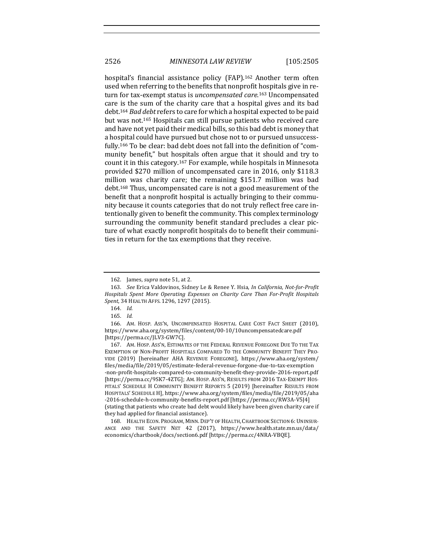hospital's financial assistance policy (FAP).<sup>162</sup> Another term often used when referring to the benefits that nonprofit hospitals give in return for tax-exempt status is *uncompensated care*.<sup>163</sup> Uncompensated care is the sum of the charity care that a hospital gives and its bad debt.<sup>164</sup> *Bad debt* refers to care for which a hospital expected to be paid but was not.<sup>165</sup> Hospitals can still pursue patients who received care and have not yet paid their medical bills, so this bad debt is money that a hospital could have pursued but chose not to or pursued unsuccessfully.<sup>166</sup> To be clear: bad debt does not fall into the definition of "community benefit," but hospitals often argue that it should and try to count it in this category.<sup>167</sup> For example, while hospitals in Minnesota provided \$270 million of uncompensated care in 2016, only \$118.3 million was charity care; the remaining \$151.7 million was bad debt.<sup>168</sup> Thus, uncompensated care is not a good measurement of the benefit that a nonprofit hospital is actually bringing to their community because it counts categories that do not truly reflect free care intentionally given to benefit the community. This complex terminology surrounding the community benefit standard precludes a clear picture of what exactly nonprofit hospitals do to benefit their communities in return for the tax exemptions that they receive.

<sup>162.</sup> James, *supra* note 51, at 2.

<sup>163.</sup> *See Erica Valdovinos, Sidney Le & Renee Y. Hsia, In California, Not-for-Profit* Hospitals Spent More Operating Expenses on Charity Care Than For-Profit Hospitals *Spent*, 34 HEALTH AFFS. 1296, 1297 (2015).

<sup>164.</sup> *Id.* 

<sup>165.</sup> *Id.* 

<sup>166.</sup> AM. HOSP. ASS'N, UNCOMPENSATED HOSPITAL CARE COST FACT SHEET (2010), https://www.aha.org/system/files/content/00-10/10uncompensatedcare.pdf [https://perma.cc/JLV3-GW7C].

<sup>167.</sup> AM. HOSP. ASS'N, ESTIMATES OF THE FEDERAL REVENUE FOREGONE DUE TO THE TAX EXEMPTION OF NON-PROFIT HOSPITALS COMPARED TO THE COMMUNITY BENEFIT THEY PRO-VIDE (2019) [hereinafter AHA REVENUE FOREGONE], https://www.aha.org/system/ files/media/file/2019/05/estimate-federal-revenue-forgone-due-to-tax-exemption -non-profit-hospitals-compared-to-community-benefit-they-provide-2016-report.pdf [https://perma.cc/9SK7-4ZTG]; AM. HOSP. Ass'N, RESULTS FROM 2016 TAX-EXEMPT HOS-PITALS' SCHEDULE H COMMUNITY BENEFIT REPORTS 5 (2019) [hereinafter RESULTS FROM HOSPITALS' SCHEDULE H], https://www.aha.org/system/files/media/file/2019/05/aha -2016-schedule-h-community-benefits-report.pdf [https://perma.cc/RW3A-V5J4] (stating that patients who create bad debt would likely have been given charity care if they had applied for financial assistance).

<sup>168.</sup> HEALTH ECON. PROGRAM, MINN. DEP'T OF HEALTH, CHARTBOOK SECTION 6: UNINSUR-ANCE AND THE SAFETY NET 42 (2017), https://www.health.state.mn.us/data/ economics/chartbook/docs/section6.pdf [https://perma.cc/4NRA-VBQE].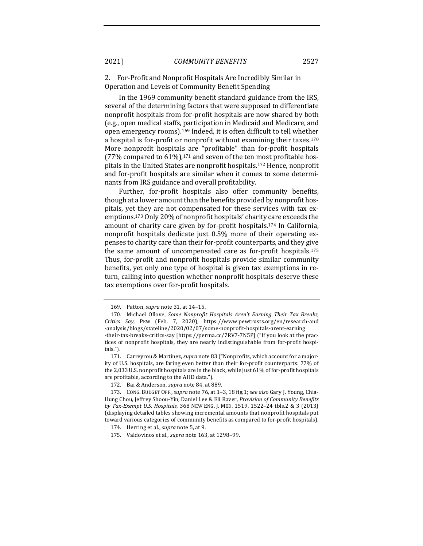2. For-Profit and Nonprofit Hospitals Are Incredibly Similar in Operation and Levels of Community Benefit Spending

In the 1969 community benefit standard guidance from the IRS, several of the determining factors that were supposed to differentiate nonprofit hospitals from for-profit hospitals are now shared by both (e.g., open medical staffs, participation in Medicaid and Medicare, and open emergency rooms).<sup>169</sup> Indeed, it is often difficult to tell whether a hospital is for-profit or nonprofit without examining their taxes. $170$ More nonprofit hospitals are "profitable" than for-profit hospitals (77% compared to  $61\%$ ),<sup>171</sup> and seven of the ten most profitable hospitals in the United States are nonprofit hospitals.<sup>172</sup> Hence, nonprofit and for-profit hospitals are similar when it comes to some determinants from IRS guidance and overall profitability.

Further, for-profit hospitals also offer community benefits, though at a lower amount than the benefits provided by nonprofit hospitals, yet they are not compensated for these services with tax exemptions.<sup>173</sup> Only 20% of nonprofit hospitals' charity care exceeds the amount of charity care given by for-profit hospitals.<sup>174</sup> In California, nonprofit hospitals dedicate just 0.5% more of their operating expenses to charity care than their for-profit counterparts, and they give the same amount of uncompensated care as for-profit hospitals.<sup>175</sup> Thus, for-profit and nonprofit hospitals provide similar community benefits, yet only one type of hospital is given tax exemptions in return, calling into question whether nonprofit hospitals deserve these tax exemptions over for-profit hospitals.

<sup>169.</sup> Patton, *supra* note 31, at 14-15.

<sup>170.</sup> Michael Ollove, *Some Nonprofit Hospitals Aren't Earning Their Tax Breaks*, *Critics Say*, PEW (Feb. 7, 2020), https://www.pewtrusts.org/en/research-and -analysis/blogs/stateline/2020/02/07/some-nonprofit-hospitals-arent-earning -their-tax-breaks-critics-say [https://perma.cc/7RV7-7N5P] ("If you look at the practices of nonprofit hospitals, they are nearly indistinguishable from for-profit hospitals.").

<sup>171.</sup> Carreyrou & Martinez, *supra* note 83 ("Nonprofits, which account for a majority of U.S. hospitals, are faring even better than their for-profit counterparts: 77% of the 2,033 U.S. nonprofit hospitals are in the black, while just 61% of for-profit hospitals are profitable, according to the AHD data.").

<sup>172.</sup> Bai & Anderson, *supra* note 84, at 889.

<sup>173.</sup> CONG. BUDGET OFF., *supra* note 76, at 1-3, 18 fig.1; see also Gary J. Young, Chia-Hung Chou, Jeffrey Shoou-Yin, Daniel Lee & Eli Raver, *Provision of Community Benefits by Tax-Exempt U.S. Hospitals*, 368 NEW ENG. J. MED. 1519, 1522–24 tbls.2 & 3 (2013) (displaying detailed tables showing incremental amounts that nonprofit hospitals put toward various categories of community benefits as compared to for-profit hospitals).

<sup>174.</sup> Herring et al., *supra* note 5, at 9.

<sup>175.</sup> Valdovinos et al., *supra* note 163, at 1298-99.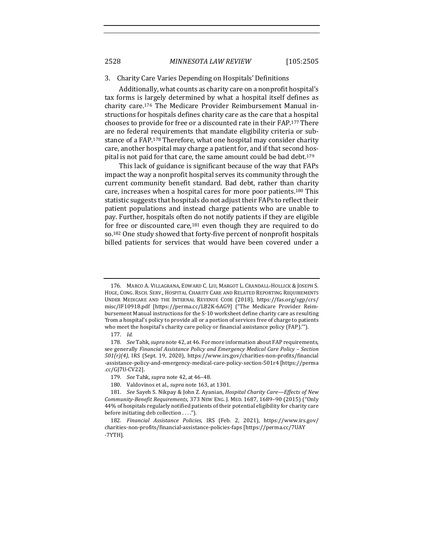#### 3. Charity Care Varies Depending on Hospitals' Definitions

Additionally, what counts as charity care on a nonprofit hospital's tax forms is largely determined by what a hospital itself defines as charity care.<sup>176</sup> The Medicare Provider Reimbursement Manual instructions for hospitals defines charity care as the care that a hospital chooses to provide for free or a discounted rate in their FAP.<sup>177</sup> There are no federal requirements that mandate eligibility criteria or substance of a FAP.<sup>178</sup> Therefore, what one hospital may consider charity care, another hospital may charge a patient for, and if that second hospital is not paid for that care, the same amount could be bad debt.<sup>179</sup>

This lack of guidance is significant because of the way that FAPs impact the way a nonprofit hospital serves its community through the current community benefit standard. Bad debt, rather than charity care, increases when a hospital cares for more poor patients.<sup>180</sup> This statistic suggests that hospitals do not adjust their FAPs to reflect their patient populations and instead charge patients who are unable to pay. Further, hospitals often do not notify patients if they are eligible for free or discounted care, $181$  even though they are required to do so.<sup>182</sup> One study showed that forty-five percent of nonprofit hospitals billed patients for services that would have been covered under a

<sup>176.</sup> MARCO A. VILLAGRANA, EDWARD C. LIU, MARGOT L. CRANDALL-HOLLICK & JOSEPH S. HUGE, CONG. RSCH. SERV., HOSPITAL CHARITY CARE AND RELATED REPORTING REQUIREMENTS UNDER MEDICARE AND THE INTERNAL REVENUE CODE (2018), https://fas.org/sgp/crs/ misc/IF10918.pdf [https://perma.cc/LB2K-6AG9] ("The Medicare Provider Reimbursement Manual instructions for the S-10 worksheet define charity care as resulting 'from a hospital's policy to provide all or a portion of services free of charge to patients who meet the hospital's charity care policy or financial assistance policy (FAP)."').

<sup>177.</sup> *Id.* 

<sup>178.</sup> *See* Tahk, *supra* note 42, at 46. For more information about FAP requirements, see generally *Financial Assistance Policy and Emergency Medical Care Policy - Section 501(r)(4)*, IRS (Sept. 19, 2020), https://www.irs.gov/charities-non-profits/financial -assistance-policy-and-emergency-medical-care-policy-section-501r4 [https://perma .cc/GJ7U-CV22].

<sup>179.</sup> *See* Tahk, *supra* note 42, at 46–48.

<sup>180.</sup> Valdovinos et al., *supra* note 163, at 1301.

<sup>181.</sup> *See* Sayeh S. Nikpay & John Z. Ayanian, *Hospital Charity Care—Effects of New Community-Benefit Requirements*, 373 NEW ENG. J. MED. 1687, 1689–90 (2015) ("Only 44% of hospitals regularly notified patients of their potential eligibility for charity care before initiating deb collection  $\dots$ .").

<sup>182.</sup> *Financial Assistance Policies*, IRS (Feb. 2, 2021), https://www.irs.gov/ charities-non-profits/financial-assistance-policies-faps [https://perma.cc/7UAY -7YTH].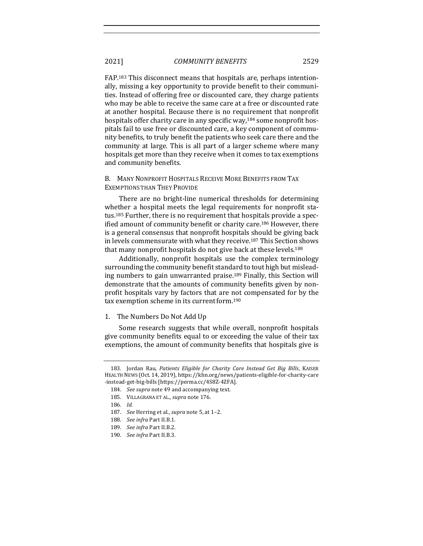2021] *COMMUNITY BENEFITS* 2529

FAP.<sup>183</sup> This disconnect means that hospitals are, perhaps intentionally, missing a key opportunity to provide benefit to their communities. Instead of offering free or discounted care, they charge patients who may be able to receive the same care at a free or discounted rate at another hospital. Because there is no requirement that nonprofit hospitals offer charity care in any specific way, $184$  some nonprofit hospitals fail to use free or discounted care, a key component of community benefits, to truly benefit the patients who seek care there and the community at large. This is all part of a larger scheme where many hospitals get more than they receive when it comes to tax exemptions and community benefits.

B. MANY NONPROFIT HOSPITALS RECEIVE MORE BENEFITS FROM TAX EXEMPTIONS THAN THEY PROVIDE

There are no bright-line numerical thresholds for determining whether a hospital meets the legal requirements for nonprofit status.<sup>185</sup> Further, there is no requirement that hospitals provide a specified amount of community benefit or charity care.<sup>186</sup> However, there is a general consensus that nonprofit hospitals should be giving back in levels commensurate with what they receive.<sup>187</sup> This Section shows that many nonprofit hospitals do not give back at these levels.<sup>188</sup>

Additionally, nonprofit hospitals use the complex terminology surrounding the community benefit standard to tout high but misleading numbers to gain unwarranted praise.<sup>189</sup> Finally, this Section will demonstrate that the amounts of community benefits given by nonprofit hospitals vary by factors that are not compensated for by the tax exemption scheme in its current form.<sup>190</sup>

1. The Numbers Do Not Add Up

Some research suggests that while overall, nonprofit hospitals give community benefits equal to or exceeding the value of their tax exemptions, the amount of community benefits that hospitals give is

<sup>183.</sup> Jordan Rau, *Patients Eligible for Charity Care Instead Get Big Bills*, KAISER HEALTH NEWS (Oct. 14, 2019), https://khn.org/news/patients-eligible-for-charity-care -instead-get-big-bills [https://perma.cc/4S8Z-4ZFA].

<sup>184.</sup> *See supra* note 49 and accompanying text.

<sup>185.</sup> VILLAGRANA ET AL., *supra* note 176.

<sup>186.</sup> *Id.* 

<sup>187.</sup> *See* Herring et al., *supra* note 5, at 1-2.

<sup>188.</sup> *See infra Part II.B.1.* 

<sup>189.</sup> *See infra Part II.B.2.* 

<sup>190.</sup> *See infra Part II.B.3.*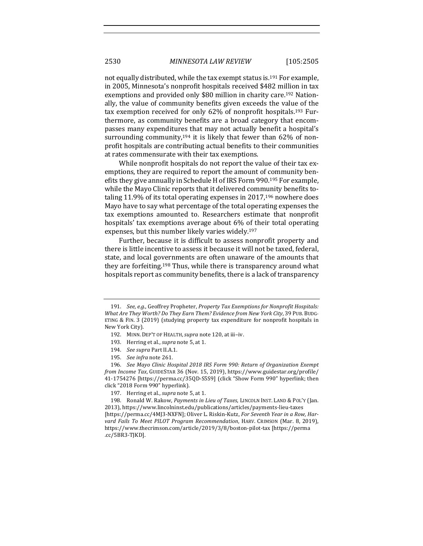not equally distributed, while the tax exempt status is.<sup>191</sup> For example, in 2005, Minnesota's nonprofit hospitals received \$482 million in tax exemptions and provided only \$80 million in charity care.<sup>192</sup> Nationally, the value of community benefits given exceeds the value of the tax exemption received for only  $62\%$  of nonprofit hospitals.<sup>193</sup> Furthermore, as community benefits are a broad category that encompasses many expenditures that may not actually benefit a hospital's surrounding community,<sup>194</sup> it is likely that fewer than  $62\%$  of nonprofit hospitals are contributing actual benefits to their communities at rates commensurate with their tax exemptions.

While nonprofit hospitals do not report the value of their tax exemptions, they are required to report the amount of community benefits they give annually in Schedule H of IRS Form 990.<sup>195</sup> For example, while the Mayo Clinic reports that it delivered community benefits totaling 11.9% of its total operating expenses in  $2017$ ,<sup>196</sup> nowhere does Mayo have to say what percentage of the total operating expenses the tax exemptions amounted to. Researchers estimate that nonprofit hospitals' tax exemptions average about 6% of their total operating expenses, but this number likely varies widely.<sup>197</sup>

Further, because it is difficult to assess nonprofit property and there is little incentive to assess it because it will not be taxed, federal, state, and local governments are often unaware of the amounts that they are forfeiting.<sup>198</sup> Thus, while there is transparency around what hospitals report as community benefits, there is a lack of transparency

196. *See Mayo Clinic Hospital 2018 IRS Form 990: Return of Organization Exempt from Income Tax*, GUIDESTAR 36 (Nov. 15, 2019), https://www.guidestar.org/profile/ 41-1754276 [https://perma.cc/35QD-S5S9] (click "Show Form 990" hyperlink; then click "2018 Form 990" hyperlink). 

198. Ronald W. Rakow, *Payments in Lieu of Taxes*, LINCOLN INST. LAND & POL'Y (Jan. 2013), https://www.lincolninst.edu/publications/articles/payments-lieu-taxes [https://perma.cc/4MJ3-NXFN]; Oliver L. Riskin-Kutz, *For Seventh Year in a Row, Har*vard Fails To Meet PILOT Program Recommendation, HARV. CRIMSON (Mar. 8, 2019), https://www.thecrimson.com/article/2019/3/8/boston-pilot-tax [https://perma .cc/5BR3-TJKD].

<sup>191.</sup> *See, e.g.*, Geoffrey Propheter, *Property Tax Exemptions for Nonprofit Hospitals: What Are They Worth? Do They Earn Them? Evidence from New York City*, 39 PUB. BUDG-ETING & FIN. 3  $(2019)$  (studying property tax expenditure for nonprofit hospitals in New York City).

<sup>192.</sup> MINN. DEP'T OF HEALTH, *supra* note 120, at iii-iv.

<sup>193.</sup> Herring et al., *supra* note 5, at 1.

<sup>194.</sup> *See supra* Part II.A.1.

<sup>195.</sup> *See infra* note 261.

<sup>197.</sup> Herring et al., *supra* note 5, at 1.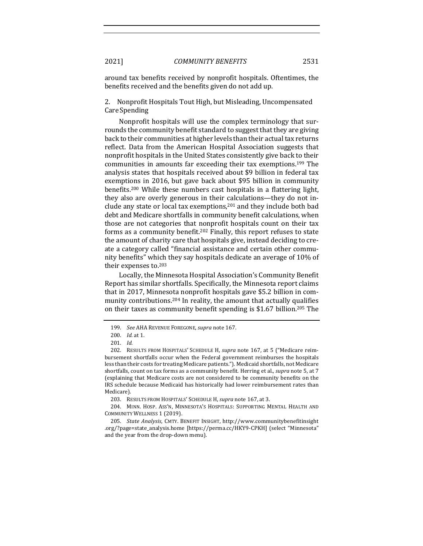around tax benefits received by nonprofit hospitals. Oftentimes, the benefits received and the benefits given do not add up.

2. Nonprofit Hospitals Tout High, but Misleading, Uncompensated Care Spending 

Nonprofit hospitals will use the complex terminology that surrounds the community benefit standard to suggest that they are giving back to their communities at higher levels than their actual tax returns reflect. Data from the American Hospital Association suggests that nonprofit hospitals in the United States consistently give back to their communities in amounts far exceeding their tax exemptions.<sup>199</sup> The analysis states that hospitals received about \$9 billion in federal tax exemptions in 2016, but gave back about \$95 billion in community benefits.<sup>200</sup> While these numbers cast hospitals in a flattering light, they also are overly generous in their calculations—they do not include any state or local tax exemptions, $201$  and they include both bad debt and Medicare shortfalls in community benefit calculations, when those are not categories that nonprofit hospitals count on their tax forms as a community benefit.<sup>202</sup> Finally, this report refuses to state the amount of charity care that hospitals give, instead deciding to create a category called "financial assistance and certain other community benefits" which they say hospitals dedicate an average of 10% of their expenses to.<sup>203</sup>

Locally, the Minnesota Hospital Association's Community Benefit Report has similar shortfalls. Specifically, the Minnesota report claims that in 2017, Minnesota nonprofit hospitals gave \$5.2 billion in community contributions.<sup>204</sup> In reality, the amount that actually qualifies on their taxes as community benefit spending is  $$1.67$  billion.<sup>205</sup> The

<sup>199.</sup> *See* AHA REVENUE FOREGONE, *supra* note 167.

<sup>200.</sup> *Id.* at 1.

<sup>201.</sup> *Id.* 

<sup>202.</sup> RESULTS FROM HOSPITALS' SCHEDULE H, *supra* note 167, at 5 ("Medicare reimbursement shortfalls occur when the Federal government reimburses the hospitals less than their costs for treating Medicare patients."). Medicaid shortfalls, not Medicare shortfalls, count on tax forms as a community benefit. Herring et al., *supra* note 5, at 7 (explaining that Medicare costs are not considered to be community benefits on the IRS schedule because Medicaid has historically had lower reimbursement rates than Medicare).

<sup>203.</sup> RESULTS FROM HOSPITALS' SCHEDULE H, *supra* note 167, at 3.

<sup>204.</sup> MINN. HOSP. ASS'N, MINNESOTA'S HOSPITALS: SUPPORTING MENTAL HEALTH AND COMMUNITY WELLNESS 1 (2019).

<sup>205.</sup> *State Analysis*, CMTY. BENEFIT INSIGHT, http://www.communitybenefitinsight .org/?page=state\_analysis.home [https://perma.cc/HKY9-CPKH] (select "Minnesota" and the year from the drop-down menu).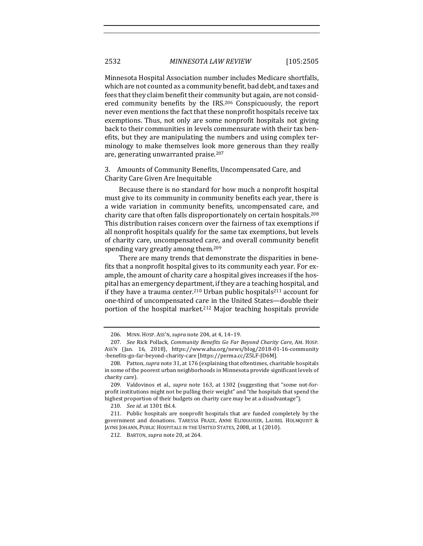Minnesota Hospital Association number includes Medicare shortfalls, which are not counted as a community benefit, bad debt, and taxes and fees that they claim benefit their community but again, are not considered community benefits by the IRS.<sup>206</sup> Conspicuously, the report never even mentions the fact that these nonprofit hospitals receive tax exemptions. Thus, not only are some nonprofit hospitals not giving back to their communities in levels commensurate with their tax benefits, but they are manipulating the numbers and using complex terminology to make themselves look more generous than they really are, generating unwarranted praise.<sup>207</sup>

3. Amounts of Community Benefits, Uncompensated Care, and Charity Care Given Are Inequitable

Because there is no standard for how much a nonprofit hospital must give to its community in community benefits each year, there is a wide variation in community benefits, uncompensated care, and charity care that often falls disproportionately on certain hospitals.<sup>208</sup> This distribution raises concern over the fairness of tax exemptions if all nonprofit hospitals qualify for the same tax exemptions, but levels of charity care, uncompensated care, and overall community benefit spending vary greatly among them.<sup>209</sup>

There are many trends that demonstrate the disparities in benefits that a nonprofit hospital gives to its community each year. For example, the amount of charity care a hospital gives increases if the hospital has an emergency department, if they are a teaching hospital, and if they have a trauma center.<sup>210</sup> Urban public hospitals<sup>211</sup> account for one-third of uncompensated care in the United States—double their portion of the hospital market.<sup>212</sup> Major teaching hospitals provide

<sup>206.</sup> MINN. HOSP. ASS'N, *supra* note 204, at 4, 14-19.

<sup>207.</sup> *See* Rick Pollack, *Community Benefits Go Far Beyond Charity Care*, AM. HOSP. ASS'N (Jan. 16, 2018), https://www.aha.org/news/blog/2018-01-16-community -benefits-go-far-beyond-charity-care [https://perma.cc/Z5LF-JD6M].

<sup>208.</sup> Patton, *supra* note 31, at 176 (explaining that oftentimes, charitable hospitals in some of the poorest urban neighborhoods in Minnesota provide significant levels of charity care).

<sup>209.</sup> Valdovinos et al., *supra* note 163, at 1302 (suggesting that "some not-forprofit institutions might not be pulling their weight" and "the hospitals that spend the highest proportion of their budgets on charity care may be at a disadvantage").

<sup>210.</sup> *See id.* at 1301 tbl.4.

<sup>211.</sup> Public hospitals are nonprofit hospitals that are funded completely by the government and donations. TARESSA FRAZE, ANNE ELIXHAUSER, LAUREL HOLMQUIST & JAYNE JOHANN, PUBLIC HOSPITALS IN THE UNITED STATES, 2008, at 1 (2010).

<sup>212.</sup> BARTON, *supra* note 20, at 264.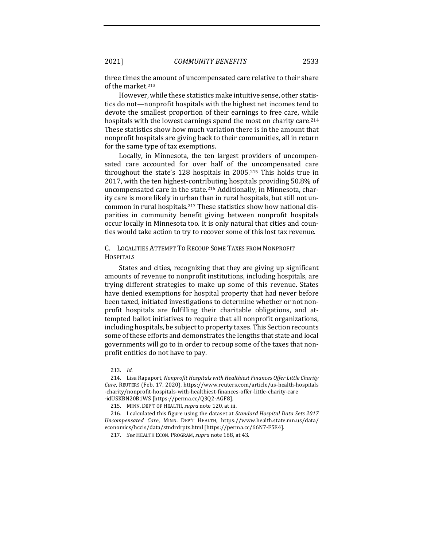#### 2021] *COMMUNITY BENEFITS* 2533

three times the amount of uncompensated care relative to their share of the market.<sup>213</sup>

However, while these statistics make intuitive sense, other statistics do not—nonprofit hospitals with the highest net incomes tend to devote the smallest proportion of their earnings to free care, while hospitals with the lowest earnings spend the most on charity care.<sup>214</sup> These statistics show how much variation there is in the amount that nonprofit hospitals are giving back to their communities, all in return for the same type of tax exemptions.

Locally, in Minnesota, the ten largest providers of uncompensated care accounted for over half of the uncompensated care throughout the state's  $128$  hospitals in  $2005<sup>215</sup>$  This holds true in 2017, with the ten highest-contributing hospitals providing 50.8% of uncompensated care in the state.<sup>216</sup> Additionally, in Minnesota, charity care is more likely in urban than in rural hospitals, but still not uncommon in rural hospitals.<sup>217</sup> These statistics show how national disparities in community benefit giving between nonprofit hospitals occur locally in Minnesota too. It is only natural that cities and counties would take action to try to recover some of this lost tax revenue.

## C. LOCALITIES ATTEMPT TO RECOUP SOME TAXES FROM NONPROFIT **HOSPITALS**

States and cities, recognizing that they are giving up significant amounts of revenue to nonprofit institutions, including hospitals, are trying different strategies to make up some of this revenue. States have denied exemptions for hospital property that had never before been taxed, initiated investigations to determine whether or not nonprofit hospitals are fulfilling their charitable obligations, and attempted ballot initiatives to require that all nonprofit organizations, including hospitals, be subject to property taxes. This Section recounts some of these efforts and demonstrates the lengths that state and local governments will go to in order to recoup some of the taxes that nonprofit entities do not have to pay.

<sup>213.</sup> *Id.* 

<sup>214.</sup> Lisa Rapaport, *Nonprofit Hospitals with Healthiest Finances Offer Little Charity Care*, REUTERS (Feb. 17, 2020), https://www.reuters.com/article/us-health-hospitals -charity/nonprofit-hospitals-with-healthiest-finances-offer-little-charity-care -idUSKBN20B1WS [https://perma.cc/Q3Q2-AGF8].

<sup>215.</sup> MINN. DEP'T OF HEALTH, *supra* note 120, at iii.

<sup>216.</sup> I calculated this figure using the dataset at *Standard Hospital Data Sets 2017 Uncompensated Care*, MINN. DEP'T HEALTH, https://www.health.state.mn.us/data/ economics/hccis/data/stndrdrpts.html [https://perma.cc/66N7-F5E4].

<sup>217.</sup> *See* HEALTH ECON. PROGRAM, *supra* note 168, at 43.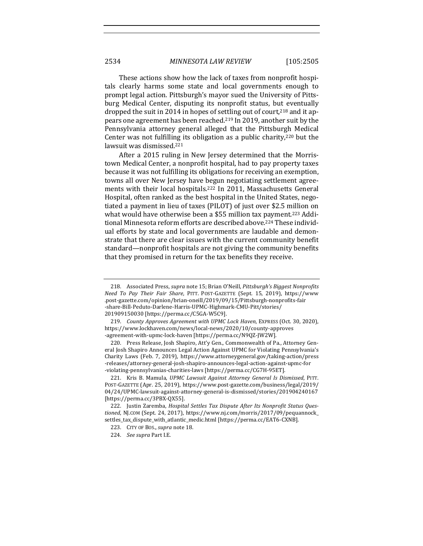These actions show how the lack of taxes from nonprofit hospitals clearly harms some state and local governments enough to prompt legal action. Pittsburgh's mayor sued the University of Pittsburg Medical Center, disputing its nonprofit status, but eventually dropped the suit in 2014 in hopes of settling out of court,<sup>218</sup> and it appears one agreement has been reached.<sup>219</sup> In 2019, another suit by the Pennsylvania attorney general alleged that the Pittsburgh Medical Center was not fulfilling its obligation as a public charity, $220$  but the lawsuit was dismissed.<sup>221</sup>

After a 2015 ruling in New Jersey determined that the Morristown Medical Center, a nonprofit hospital, had to pay property taxes because it was not fulfilling its obligations for receiving an exemption, towns all over New Jersey have begun negotiating settlement agreements with their local hospitals.<sup>222</sup> In 2011, Massachusetts General Hospital, often ranked as the best hospital in the United States, negotiated a payment in lieu of taxes (PILOT) of just over \$2.5 million on what would have otherwise been a \$55 million tax payment.<sup>223</sup> Additional Minnesota reform efforts are described above.<sup>224</sup> These individual efforts by state and local governments are laudable and demonstrate that there are clear issues with the current community benefit standard—nonprofit hospitals are not giving the community benefits that they promised in return for the tax benefits they receive.

<sup>218.</sup> Associated Press, *supra* note 15; Brian O'Neill, Pittsburgh's Biggest Nonprofits *Need To Pay Their Fair Share, PITT. POST-GAZETTE (Sept. 15, 2019), https://www* .post-gazette.com/opinion/brian-oneill/2019/09/15/Pittsburgh-nonprofits-fair -share-Bill-Peduto-Darlene-Harris-UPMC-Highmark-CMU-Pitt/stories/ 201909150030 [https://perma.cc/C5GA-W5C9].

<sup>219.</sup> County Approves Agreement with UPMC Lock Haven, EXPRESS (Oct. 30, 2020), https://www.lockhaven.com/news/local-news/2020/10/county-approves -agreement-with-upmc-lock-haven [https://perma.cc/N9QZ-JW2W]. 

<sup>220.</sup> Press Release, Josh Shapiro, Att'y Gen., Commonwealth of Pa., Attorney General Josh Shapiro Announces Legal Action Against UPMC for Violating Pennsylvania's Charity Laws (Feb. 7, 2019), https://www.attorneygeneral.gov/taking-action/press -releases/attorney-general-josh-shapiro-announces-legal-action-against-upmc-for -violating-pennsylvanias-charities-laws [https://perma.cc/CG7H-95ET].

<sup>221.</sup> Kris B. Mamula, *UPMC Lawsuit Against Attorney General Is Dismissed*, PITT. POST-GAZETTE (Apr. 25, 2019), https://www.post-gazette.com/business/legal/2019/ 04/24/UPMC-lawsuit-against-attorney-general-is-dismissed/stories/201904240167 [https://perma.cc/3PBX-QX55].

<sup>222.</sup> Justin Zaremba, *Hospital Settles Tax Dispute After Its Nonprofit Status Ques*tioned, NJ.COM (Sept. 24, 2017), https://www.nj.com/morris/2017/09/pequannock\_ settles\_tax\_dispute\_with\_atlantic\_medic.html [https://perma.cc/EAT6-CXNB].

<sup>223.</sup> CITY OF BOS., *supra* note 18.

<sup>224.</sup> *See supra* Part I.E.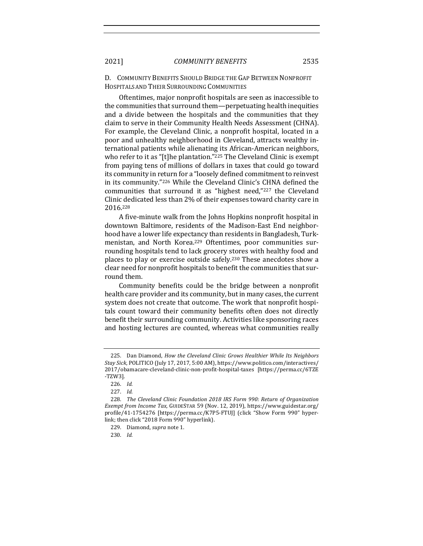D. COMMUNITY BENEFITS SHOULD BRIDGE THE GAP BETWEEN NONPROFIT HOSPITALSAND THEIR SURROUNDING COMMUNITIES

Oftentimes, major nonprofit hospitals are seen as inaccessible to the communities that surround them—perpetuating health inequities and a divide between the hospitals and the communities that they claim to serve in their Community Health Needs Assessment (CHNA). For example, the Cleveland Clinic, a nonprofit hospital, located in a poor and unhealthy neighborhood in Cleveland, attracts wealthy international patients while alienating its African-American neighbors, who refer to it as "[t]he plantation."<sup>225</sup> The Cleveland Clinic is exempt from paying tens of millions of dollars in taxes that could go toward its community in return for a "loosely defined commitment to reinvest in its community."226 While the Cleveland Clinic's CHNA defined the communities that surround it as "highest need,"<sup>227</sup> the Cleveland Clinic dedicated less than 2% of their expenses toward charity care in 2016.228

A five-minute walk from the Johns Hopkins nonprofit hospital in downtown Baltimore, residents of the Madison-East End neighborhood have a lower life expectancy than residents in Bangladesh, Turkmenistan, and North Korea.<sup>229</sup> Oftentimes, poor communities surrounding hospitals tend to lack grocery stores with healthy food and places to play or exercise outside safely.<sup>230</sup> These anecdotes show a clear need for nonprofit hospitals to benefit the communities that surround them.

Community benefits could be the bridge between a nonprofit health care provider and its community, but in many cases, the current system does not create that outcome. The work that nonprofit hospitals count toward their community benefits often does not directly benefit their surrounding community. Activities like sponsoring races and hosting lectures are counted, whereas what communities really

<sup>225.</sup> Dan Diamond, *How the Cleveland Clinic Grows Healthier While Its Neighbors* Stay Sick, POLITICO (July 17, 2017, 5:00 AM), https://www.politico.com/interactives/ 2017/obamacare-cleveland-clinic-non-profit-hospital-taxes [https://perma.cc/6TZE -TZW3].

<sup>226.</sup> *Id.* 

<sup>227.</sup> *Id.* 

<sup>228.</sup> The Cleveland Clinic Foundation 2018 IRS Form 990: Return of Organization *Exempt from Income Tax*, GUIDESTAR 59 (Nov. 12, 2019), https://www.guidestar.org/ profile/41-1754276 [https://perma.cc/K7P5-FTUJ] (click "Show Form 990" hyperlink; then click "2018 Form 990" hyperlink).

<sup>229.</sup> Diamond, *supra* note 1.

<sup>230.</sup> *Id.*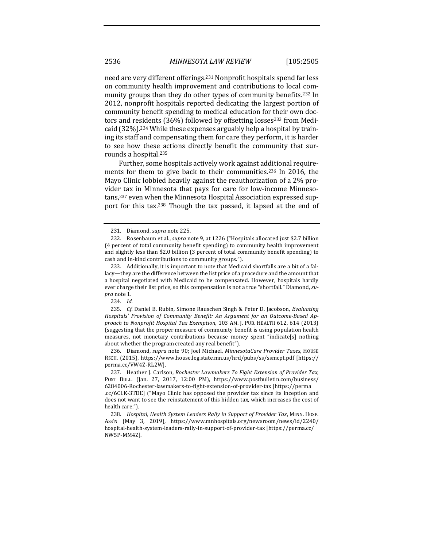need are very different offerings.<sup>231</sup> Nonprofit hospitals spend far less on community health improvement and contributions to local community groups than they do other types of community benefits.<sup>232</sup> In 2012, nonprofit hospitals reported dedicating the largest portion of community benefit spending to medical education for their own doctors and residents  $(36%)$  followed by offsetting losses<sup>233</sup> from Medicaid  $(32\%)$ .<sup>234</sup> While these expenses arguably help a hospital by training its staff and compensating them for care they perform, it is harder to see how these actions directly benefit the community that surrounds a hospital.<sup>235</sup>

Further, some hospitals actively work against additional requirements for them to give back to their communities.<sup>236</sup> In 2016, the Mayo Clinic lobbied heavily against the reauthorization of a 2% provider tax in Minnesota that pays for care for low-income Minnesotans,<sup>237</sup> even when the Minnesota Hospital Association expressed support for this tax.<sup>238</sup> Though the tax passed, it lapsed at the end of

236. Diamond, *supra* note 90; Joel Michael, *MinnesotaCare Provider Taxes*, HOUSE RSCH. (2015), https://www.house.leg.state.mn.us/hrd/pubs/ss/ssmcpt.pdf [https:// perma.cc/VW4Z-RL2W].

237. Heather J. Carlson, *Rochester Lawmakers To Fight Extension of Provider Tax*, POST BULL. (Jan. 27, 2017, 12:00 PM), https://www.postbulletin.com/business/ 6284006-Rochester-lawmakers-to-fight-extension-of-provider-tax [https://perma .cc/6CLK-3TDE] ("Mayo Clinic has opposed the provider tax since its inception and does not want to see the reinstatement of this hidden tax, which increases the cost of health care.").

<sup>231.</sup> Diamond, *supra* note 225.

<sup>232.</sup> Rosenbaum et al., *supra* note 9, at 1226 ("Hospitals allocated just \$2.7 billion (4 percent of total community benefit spending) to community health improvement and slightly less than \$2.0 billion (3 percent of total community benefit spending) to cash and in-kind contributions to community groups.").

<sup>233.</sup> Additionally, it is important to note that Medicaid shortfalls are a bit of a fallacy-they are the difference between the list price of a procedure and the amount that a hospital negotiated with Medicaid to be compensated. However, hospitals hardly ever charge their list price, so this compensation is not a true "shortfall." Diamond, su*pra* note 1.

<sup>234.</sup> *Id.* 

<sup>235.</sup> *Cf.* Daniel B. Rubin, Simone Rauschen Singh & Peter D. Jacobson, *Evaluating* Hospitals' Provision of Community Benefit: An Argument for an Outcome-Based Ap*proach to Nonprofit Hospital Tax Exemption*, 103 AM. J. PUB. HEALTH 612, 614 (2013) (suggesting that the proper measure of community benefit is using population health measures, not monetary contributions because money spent "indicate[s] nothing about whether the program created any real benefit").

<sup>238.</sup> *Hospital, Health System Leaders Rally in Support of Provider Tax, MINN. HOSP.* ASS'N (May 3, 2019), https://www.mnhospitals.org/newsroom/news/id/2240/ hospital-health-system-leaders-rally-in-support-of-provider-tax [https://perma.cc/ NW5P-MM4Z].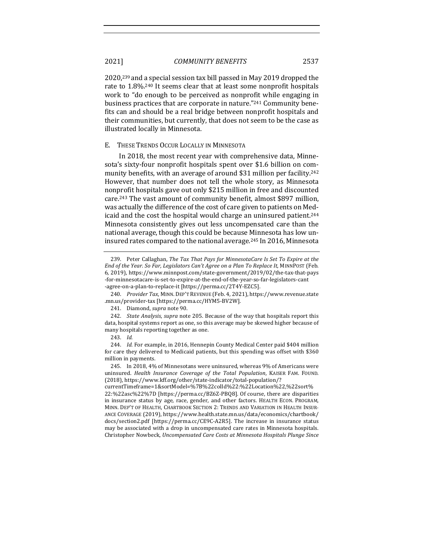#### 2021] *COMMUNITY BENEFITS* 2537

 $2020$ ,<sup>239</sup> and a special session tax bill passed in May 2019 dropped the rate to 1.8%.<sup>240</sup> It seems clear that at least some nonprofit hospitals work to "do enough to be perceived as nonprofit while engaging in business practices that are corporate in nature."<sup>241</sup> Community benefits can and should be a real bridge between nonprofit hospitals and their communities, but currently, that does not seem to be the case as illustrated locally in Minnesota.

#### E. THESE TRENDS OCCUR LOCALLY IN MINNESOTA

In 2018, the most recent year with comprehensive data, Minnesota's sixty-four nonprofit hospitals spent over \$1.6 billion on community benefits, with an average of around \$31 million per facility.<sup>242</sup> However, that number does not tell the whole story, as Minnesota nonprofit hospitals gave out only \$215 million in free and discounted care.<sup>243</sup> The vast amount of community benefit, almost \$897 million, was actually the difference of the cost of care given to patients on Medicaid and the cost the hospital would charge an uninsured patient.<sup>244</sup> Minnesota consistently gives out less uncompensated care than the national average, though this could be because Minnesota has low uninsured rates compared to the national average.<sup>245</sup> In 2016, Minnesota

241. Diamond, *supra* note 90.

<sup>239.</sup> Peter Callaghan, *The Tax That Pays for MinnesotaCare Is Set To Expire at the End of the Year. So Far, Legislators Can't Agree on a Plan To Replace It, MINNPOST (Feb.* 6, 2019), https://www.minnpost.com/state-government/2019/02/the-tax-that-pays -for-minnesotacare-is-set-to-expire-at-the-end-of-the-year-so-far-legislators-cant -agree-on-a-plan-to-replace-it [https://perma.cc/2T4Y-EZC5].

<sup>240.</sup> Provider Tax, MINN. DEP'T REVENUE (Feb. 4, 2021), https://www.revenue.state .mn.us/provider-tax [https://perma.cc/HYM5-BV2W]. 

<sup>242.</sup> *State Analysis, supra* note 205. Because of the way that hospitals report this data, hospital systems report as one, so this average may be skewed higher because of many hospitals reporting together as one.

<sup>243.</sup> *Id.*

<sup>244.</sup> *Id.* For example, in 2016, Hennepin County Medical Center paid \$404 million for care they delivered to Medicaid patients, but this spending was offset with \$360 million in payments.

<sup>245.</sup> In 2018, 4% of Minnesotans were uninsured, whereas 9% of Americans were uninsured. *Health Insurance Coverage of the Total Population*, KAISER FAM. FOUND. (2018), https://www.kff.org/other/state-indicator/total-population/?

currentTimeframe=1&sortModel=%7B%22colId%22:%22Location%22,%22sort% 22:%22asc%22%7D [https://perma.cc/BZ6Z-PBQ8]. Of course, there are disparities in insurance status by age, race, gender, and other factors. HEALTH ECON. PROGRAM, MINN. DEP'T OF HEALTH, CHARTBOOK SECTION 2: TRENDS AND VARIATION IN HEALTH INSUR-ANCE COVERAGE (2019), https://www.health.state.mn.us/data/economics/chartbook/ docs/section2.pdf [https://perma.cc/CE9C-A2R5]. The increase in insurance status may be associated with a drop in uncompensated care rates in Minnesota hospitals. Christopher Nowbeck, *Uncompensated Care Costs at Minnesota Hospitals Plunge Since*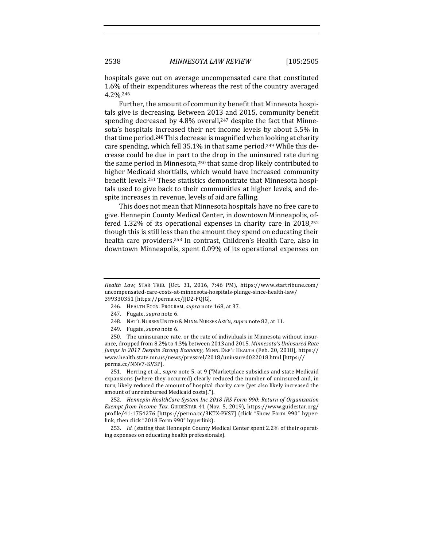hospitals gave out on average uncompensated care that constituted 1.6% of their expenditures whereas the rest of the country averaged 4.2%.246

Further, the amount of community benefit that Minnesota hospitals give is decreasing. Between 2013 and 2015, community benefit spending decreased by 4.8% overall, $247$  despite the fact that Minnesota's hospitals increased their net income levels by about 5.5% in that time period.<sup>248</sup> This decrease is magnified when looking at charity care spending, which fell  $35.1\%$  in that same period.<sup>249</sup> While this decrease could be due in part to the drop in the uninsured rate during the same period in Minnesota, $250$  that same drop likely contributed to higher Medicaid shortfalls, which would have increased community benefit levels.<sup>251</sup> These statistics demonstrate that Minnesota hospitals used to give back to their communities at higher levels, and despite increases in revenue, levels of aid are falling.

This does not mean that Minnesota hospitals have no free care to give. Hennepin County Medical Center, in downtown Minneapolis, offered  $1.32\%$  of its operational expenses in charity care in  $2018<sub>1</sub><sup>252</sup>$ though this is still less than the amount they spend on educating their health care providers.<sup>253</sup> In contrast, Children's Health Care, also in downtown Minneapolis, spent 0.09% of its operational expenses on

- 247. Fugate, *supra* note 6.
- 248. NAT'L NURSES UNITED & MINN. NURSES ASS'N, *supra* note 82, at 11.
- 249. Fugate, *supra* note 6.

250. The uninsurance rate, or the rate of individuals in Minnesota without insurance, dropped from 8.2% to 4.3% between 2013 and 2015. Minnesota's Uninsured Rate *Jumps in 2017 Despite Strong Economy*, MINN. DEP'T HEALTH (Feb. 20, 2018), https:// www.health.state.mn.us/news/pressrel/2018/uninsured022018.html [https:// perma.cc/NNV7-KV3P]. 

251. Herring et al., *supra* note 5, at 9 ("Marketplace subsidies and state Medicaid expansions (where they occurred) clearly reduced the number of uninsured and, in turn, likely reduced the amount of hospital charity care (yet also likely increased the amount of unreimbursed Medicaid costs).").

252. *Hennepin HealthCare System Inc 2018 IRS Form 990: Return of Organization Exempt from Income Tax, GUIDESTAR 41 (Nov. 5, 2019), https://www.guidestar.org/* profile/41-1754276 [https://perma.cc/3KTX-PVS7] (click "Show Form 990" hyperlink; then click "2018 Form 990" hyperlink).

253. *Id.* (stating that Hennepin County Medical Center spent 2.2% of their operating expenses on educating health professionals).

*Health Law*, STAR TRIB. (Oct. 31, 2016, 7:46 PM), https://www.startribune.com/ uncompensated-care-costs-at-minnesota-hospitals-plunge-since-health-law/ 399330351 [https://perma.cc/JJD2-FQJG].

<sup>246.</sup> HEALTH ECON. PROGRAM, *supra* note 168, at 37.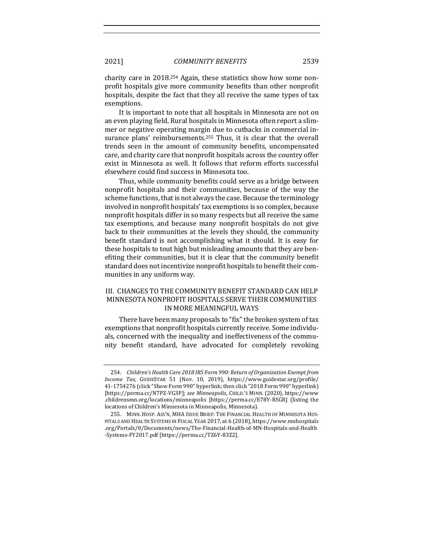charity care in 2018.<sup>254</sup> Again, these statistics show how some nonprofit hospitals give more community benefits than other nonprofit hospitals, despite the fact that they all receive the same types of tax exemptions.

It is important to note that all hospitals in Minnesota are not on an even playing field. Rural hospitals in Minnesota often report a slimmer or negative operating margin due to cutbacks in commercial insurance plans' reimbursements.<sup>255</sup> Thus, it is clear that the overall trends seen in the amount of community benefits, uncompensated care, and charity care that nonprofit hospitals across the country offer exist in Minnesota as well. It follows that reform efforts successful elsewhere could find success in Minnesota too.

Thus, while community benefits could serve as a bridge between nonprofit hospitals and their communities, because of the way the scheme functions, that is not always the case. Because the terminology involved in nonprofit hospitals' tax exemptions is so complex, because nonprofit hospitals differ in so many respects but all receive the same tax exemptions, and because many nonprofit hospitals do not give back to their communities at the levels they should, the community benefit standard is not accomplishing what it should. It is easy for these hospitals to tout high but misleading amounts that they are benefiting their communities, but it is clear that the community benefit standard does not incentivize nonprofit hospitals to benefit their communities in any uniform way.

## III. CHANGES TO THE COMMUNITY BENEFIT STANDARD CAN HELP MINNESOTA NONPROFIT HOSPITALS SERVE THEIR COMMUNITIES IN MORE MEANINGFUL WAYS

There have been many proposals to "fix" the broken system of tax exemptions that nonprofit hospitals currently receive. Some individuals, concerned with the inequality and ineffectiveness of the community benefit standard, have advocated for completely revoking

<sup>254.</sup> Children's Health Care 2018 IRS Form 990: Return of Organization Exempt from *Income Tax*, GUIDESTAR 51 (Nov. 10, 2019), https://www.guidestar.org/profile/ 41-1754276 (click "Show Form 990" hyperlink; then click "2018 Form 990" hyperlink) [https://perma.cc/N7PZ-VG3P]; see Minneapolis, CHILD.'S MINN. (2020), https://www .childrensmn.org/locations/minneapolis [https://perma.cc/E78Y-RSGR] (listing the locations of Children's Minnesota in Minneapolis, Minnesota).

<sup>255.</sup> MINN. HOSP. ASS'N, MHA ISSUE BRIEF: THE FINANCIAL HEALTH OF MINNESOTA HOS-PITALS AND HEALTH SYSTEMS IN FISCAL YEAR 2017, at 6 (2018), https://www.mnhospitals .org/Portals/0/Documents/news/The-Financial-Health-of-MN-Hospitals-and-Health -Systems-FY2017.pdf [https://perma.cc/TZ6Y-83Z2].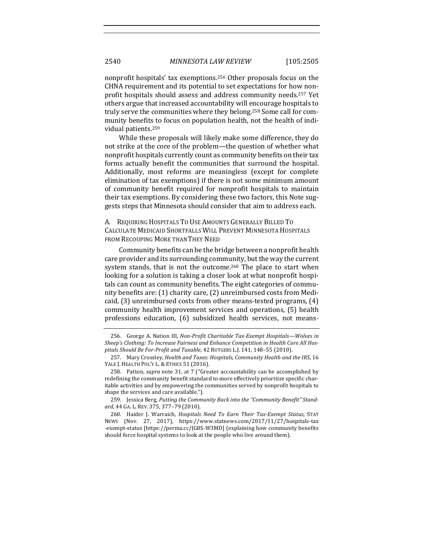nonprofit hospitals' tax exemptions.<sup>256</sup> Other proposals focus on the CHNA requirement and its potential to set expectations for how nonprofit hospitals should assess and address community needs.<sup>257</sup> Yet others argue that increased accountability will encourage hospitals to truly serve the communities where they belong.<sup>258</sup> Some call for community benefits to focus on population health, not the health of individual patients.<sup>259</sup>

While these proposals will likely make some difference, they do not strike at the core of the problem—the question of whether what nonprofit hospitals currently count as community benefits on their tax forms actually benefit the communities that surround the hospital. Additionally, most reforms are meaningless (except for complete elimination of tax exemptions) if there is not some minimum amount of community benefit required for nonprofit hospitals to maintain their tax exemptions. By considering these two factors, this Note suggests steps that Minnesota should consider that aim to address each.

A. REQUIRING HOSPITALS TO USE AMOUNTS GENERALLY BILLED TO CALCULATE MEDICAID SHORTFALLS WILL PREVENT MINNESOTA HOSPITALS FROM RECOUPING MORE THANTHEY NEED

Community benefits can be the bridge between a nonprofit health care provider and its surrounding community, but the way the current system stands, that is not the outcome.<sup>260</sup> The place to start when looking for a solution is taking a closer look at what nonprofit hospitals can count as community benefits. The eight categories of community benefits are: (1) charity care, (2) unreimbursed costs from Medicaid,  $(3)$  unreimbursed costs from other means-tested programs,  $(4)$ community health improvement services and operations, (5) health professions education, (6) subsidized health services, not means-

259. Jessica Berg, Putting the Community Back into the "Community Benefit" Standard, 44 GA. L. REV. 375, 377-79 (2010).

<sup>256.</sup> George A. Nation III, *Non-Profit Charitable Tax-Exempt Hospitals—Wolves in* Sheep's Clothing: To Increase Fairness and Enhance Competition in Health Care All Hospitals Should Be For-Profit and Taxable, 42 RUTGERS L.J. 141, 148-55 (2010).

<sup>257.</sup> Mary Crossley, *Health and Taxes: Hospitals, Community Health and the IRS*, 16 YALE J. HEALTH POL'Y L. & ETHICS 51 (2016).

<sup>258.</sup> Patton, *supra* note 31, at 7 ("Greater accountability can be accomplished by redefining the community benefit standard to more effectively prioritize specific charitable activities and by empowering the communities served by nonprofit hospitals to shape the services and care available.").

<sup>260.</sup> Haider J. Warraich, *Hospitals Need To Earn Their Tax-Exempt Status*, STAT NEWS (Nov. 27, 2017), https://www.statnews.com/2017/11/27/hospitals-tax -exempt-status [https://perma.cc/JG8S-W3MD] (explaining how community benefits should force hospital systems to look at the people who live around them).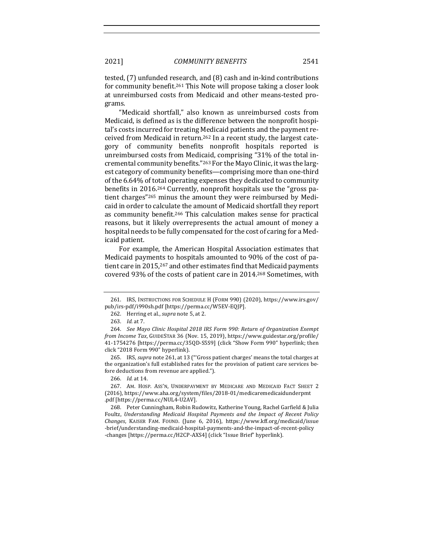tested, (7) unfunded research, and (8) cash and in-kind contributions for community benefit.<sup>261</sup> This Note will propose taking a closer look at unreimbursed costs from Medicaid and other means-tested programs.

"Medicaid shortfall," also known as unreimbursed costs from Medicaid, is defined as is the difference between the nonprofit hospital's costs incurred for treating Medicaid patients and the payment received from Medicaid in return.<sup>262</sup> In a recent study, the largest category of community benefits nonprofit hospitals reported is unreimbursed costs from Medicaid, comprising "31% of the total incremental community benefits."<sup>263</sup> For the Mayo Clinic, it was the largest category of community benefits—comprising more than one-third of the 6.64% of total operating expenses they dedicated to community benefits in 2016.<sup>264</sup> Currently, nonprofit hospitals use the "gross patient charges"<sup>265</sup> minus the amount they were reimbursed by Medicaid in order to calculate the amount of Medicaid shortfall they report as community benefit.<sup>266</sup> This calculation makes sense for practical reasons, but it likely overrepresents the actual amount of money a hospital needs to be fully compensated for the cost of caring for a Medicaid patient.

For example, the American Hospital Association estimates that Medicaid payments to hospitals amounted to 90% of the cost of patient care in 2015,<sup>267</sup> and other estimates find that Medicaid payments covered 93% of the costs of patient care in 2014.<sup>268</sup> Sometimes, with

265. IRS, *supra* note 261, at 13 ("'Gross patient charges' means the total charges at the organization's full established rates for the provision of patient care services before deductions from revenue are applied.").

<sup>261.</sup> IRS, INSTRUCTIONS FOR SCHEDULE H (FORM 990) (2020), https://www.irs.gov/ pub/irs-pdf/i990sh.pdf [https://perma.cc/W5EV-EQJP].

<sup>262.</sup> Herring et al., *supra* note 5, at 2.

<sup>263.</sup> *Id.* at 7.

<sup>264.</sup> *See Mayo Clinic Hospital 2018 IRS Form 990: Return of Organization Exempt from Income Tax*, GUIDESTAR 36 (Nov. 15, 2019), https://www.guidestar.org/profile/ 41-1754276 [https://perma.cc/35QD-S5S9] (click "Show Form 990" hyperlink; then click "2018 Form 990" hyperlink). 

<sup>266.</sup> *Id.* at 14.

<sup>267.</sup> AM. HOSP. ASS'N, UNDERPAYMENT BY MEDICARE AND MEDICAID FACT SHEET 2 (2016), https://www.aha.org/system/files/2018-01/medicaremedicaidunderpmt .pdf [https://perma.cc/NUL4-U2AV].

<sup>268.</sup> Peter Cunningham, Robin Rudowitz, Katherine Young, Rachel Garfield & Julia Foultz, Understanding Medicaid Hospital Payments and the Impact of Recent Policy *Changes*, KAISER FAM. FOUND. (June 6, 2016), https://www.kff.org/medicaid/issue -brief/understanding-medicaid-hospital-payments-and-the-impact-of-recent-policy -changes [https://perma.cc/H2CP-AXS4] (click "Issue Brief" hyperlink).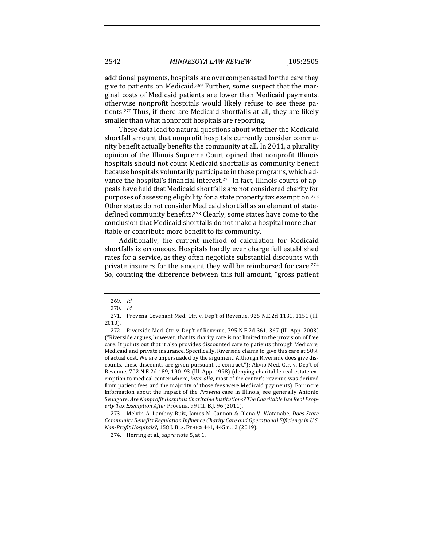additional payments, hospitals are overcompensated for the care they give to patients on Medicaid.<sup>269</sup> Further, some suspect that the marginal costs of Medicaid patients are lower than Medicaid payments, otherwise nonprofit hospitals would likely refuse to see these patients.<sup>270</sup> Thus, if there are Medicaid shortfalls at all, they are likely smaller than what nonprofit hospitals are reporting.

These data lead to natural questions about whether the Medicaid shortfall amount that nonprofit hospitals currently consider community benefit actually benefits the community at all. In 2011, a plurality opinion of the Illinois Supreme Court opined that nonprofit Illinois hospitals should not count Medicaid shortfalls as community benefit because hospitals voluntarily participate in these programs, which advance the hospital's financial interest.<sup>271</sup> In fact, Illinois courts of appeals have held that Medicaid shortfalls are not considered charity for purposes of assessing eligibility for a state property tax exemption.<sup>272</sup> Other states do not consider Medicaid shortfall as an element of statedefined community benefits.<sup>273</sup> Clearly, some states have come to the conclusion that Medicaid shortfalls do not make a hospital more charitable or contribute more benefit to its community.

Additionally, the current method of calculation for Medicaid shortfalls is erroneous. Hospitals hardly ever charge full established rates for a service, as they often negotiate substantial discounts with private insurers for the amount they will be reimbursed for care.<sup>274</sup> So, counting the difference between this full amount, "gross patient

273. Melvin A. Lamboy-Ruiz, James N. Cannon & Olena V. Watanabe, *Does State* Community Benefits Regulation Influence Charity Care and Operational Efficiency in U.S. *Non-Profit Hospitals?,* 158 J. Bus. ETHICS 441, 445 n.12 (2019).

274. Herring et al., *supra* note 5, at 1.

<sup>269.</sup> *Id.* 

<sup>270.</sup> Id.

<sup>271.</sup> Provena Covenant Med. Ctr. v. Dep't of Revenue, 925 N.E.2d 1131, 1151 (Ill. 2010).

<sup>272.</sup> Riverside Med. Ctr. v. Dep't of Revenue, 795 N.E.2d 361, 367 (Ill. App. 2003) ("Riverside argues, however, that its charity care is not limited to the provision of free care. It points out that it also provides discounted care to patients through Medicare, Medicaid and private insurance. Specifically, Riverside claims to give this care at 50% of actual cost. We are unpersuaded by the argument. Although Riverside does give discounts, these discounts are given pursuant to contract."); Alivio Med. Ctr. v. Dep't of Revenue, 702 N.E.2d 189, 190-93 (Ill. App. 1998) (denying charitable real estate exemption to medical center where, *inter alia*, most of the center's revenue was derived from patient fees and the majority of those fees were Medicaid payments). For more information about the impact of the *Provena* case in Illinois, see generally Antonio Senagore, Are Nonprofit Hospitals Charitable Institutions? The Charitable Use Real Prop*erty Tax Exemption After Provena,* 99 ILL. B.J. 96 (2011).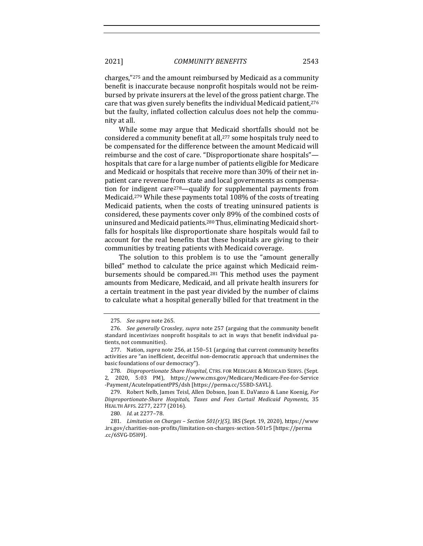2021] *COMMUNITY BENEFITS* 2543

charges," $275$  and the amount reimbursed by Medicaid as a community benefit is inaccurate because nonprofit hospitals would not be reimbursed by private insurers at the level of the gross patient charge. The care that was given surely benefits the individual Medicaid patient,  $276$ but the faulty, inflated collection calculus does not help the community at all.

While some may argue that Medicaid shortfalls should not be considered a community benefit at all,<sup>277</sup> some hospitals truly need to be compensated for the difference between the amount Medicaid will reimburse and the cost of care. "Disproportionate share hospitals"hospitals that care for a large number of patients eligible for Medicare and Medicaid or hospitals that receive more than 30% of their net inpatient care revenue from state and local governments as compensation for indigent care<sup>278</sup>—qualify for supplemental payments from Medicaid.<sup>279</sup> While these payments total  $108\%$  of the costs of treating Medicaid patients, when the costs of treating uninsured patients is considered, these payments cover only 89% of the combined costs of uninsured and Medicaid patients.<sup>280</sup> Thus, eliminating Medicaid shortfalls for hospitals like disproportionate share hospitals would fail to account for the real benefits that these hospitals are giving to their communities by treating patients with Medicaid coverage.

The solution to this problem is to use the "amount generally billed" method to calculate the price against which Medicaid reimbursements should be compared.<sup>281</sup> This method uses the payment amounts from Medicare, Medicaid, and all private health insurers for a certain treatment in the past year divided by the number of claims to calculate what a hospital generally billed for that treatment in the

<sup>275.</sup> *See supra* note 265.

<sup>276.</sup> *See generally* Crossley, *supra* note 257 (arguing that the community benefit standard incentivizes nonprofit hospitals to act in ways that benefit individual patients, not communities).

<sup>277.</sup> Nation, *supra* note 256, at 150-51 (arguing that current community benefits activities are "an inefficient, deceitful non-democratic approach that undermines the basic foundations of our democracy").

<sup>278.</sup> *Disproportionate Share Hospital*, CTRS. FOR MEDICARE & MEDICAID SERVS. (Sept. 2, 2020, 5:03 PM), https://www.cms.gov/Medicare/Medicare-Fee-for-Service -Payment/AcuteInpatientPPS/dsh [https://perma.cc/55BD-SAVL]. 

<sup>279.</sup> Robert Nelb, James Teisl, Allen Dobson, Joan E. DaVanzo & Lane Koenig, *For Disproportionate-Share Hospitals, Taxes and Fees Curtail Medicaid Payments*, 35 HEALTH AFFS. 2277, 2277 (2016).

<sup>280.</sup> *Id.* at 2277-78.

<sup>281.</sup> *Limitation on Charges - Section 501(r)(5)*, IRS (Sept. 19, 2020), https://www .irs.gov/charities-non-profits/limitation-on-charges-section-501r5 [https://perma .cc/6SVG-D5H9].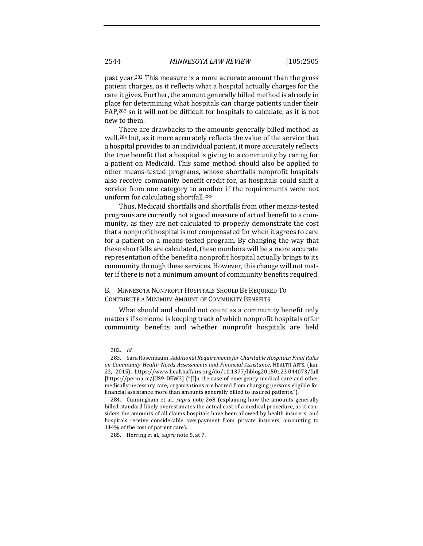past year.<sup>282</sup> This measure is a more accurate amount than the gross patient charges, as it reflects what a hospital actually charges for the care it gives. Further, the amount generally billed method is already in place for determining what hospitals can charge patients under their FAP,<sup>283</sup> so it will not be difficult for hospitals to calculate, as it is not new to them.

There are drawbacks to the amounts generally billed method as well,<sup>284</sup> but, as it more accurately reflects the value of the service that a hospital provides to an individual patient, it more accurately reflects the true benefit that a hospital is giving to a community by caring for a patient on Medicaid. This same method should also be applied to other means-tested programs, whose shortfalls nonprofit hospitals also receive community benefit credit for, as hospitals could shift a service from one category to another if the requirements were not uniform for calculating shortfall.<sup>285</sup>

Thus, Medicaid shortfalls and shortfalls from other means-tested programs are currently not a good measure of actual benefit to a community, as they are not calculated to properly demonstrate the cost that a nonprofit hospital is not compensated for when it agrees to care for a patient on a means-tested program. By changing the way that these shortfalls are calculated, these numbers will be a more accurate representation of the benefit a nonprofit hospital actually brings to its community through these services. However, this change will not matter if there is not a minimum amount of community benefits required.

B. MINNESOTA NONPROFIT HOSPITALS SHOULD BE REQUIRED TO CONTRIBUTE A MINIMUM AMOUNT OF COMMUNITY BENEFITS

What should and should not count as a community benefit only matters if someone is keeping track of which nonprofit hospitals offer community benefits and whether nonprofit hospitals are held

<sup>282.</sup> *Id.*

<sup>283.</sup> Sara Rosenbaum, *Additional Requirements for Charitable Hospitals: Final Rules on Community Health Needs Assessments and Financial Assistance*, HEALTH AFFS. (Jan. 23, 2015), https://www.healthaffairs.org/do/10.1377/hblog20150123.044073/full [https://perma.cc/JUS9-DEW3] ("[I]n the case of emergency medical care and other medically necessary care, organizations are barred from charging persons eligible for financial assistance more than amounts generally billed to insured patients.").

<sup>284.</sup> Cunningham et al., *supra* note 268 (explaining how the amounts generally billed standard likely overestimates the actual cost of a medical procedure, as it considers the amounts of all claims hospitals have been allowed by health insurers, and hospitals receive considerable overpayment from private insurers, amounting to 144% of the cost of patient care).

<sup>285.</sup> Herring et al., *supra* note 5, at 7.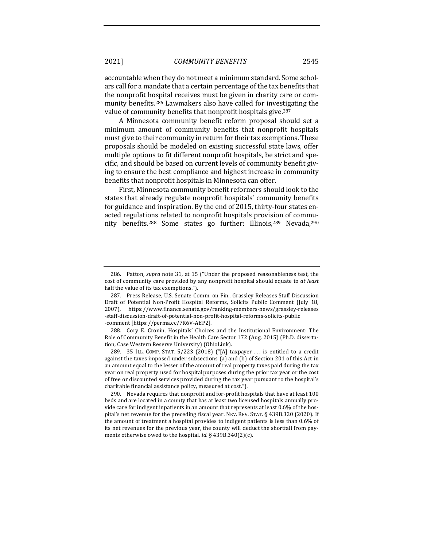2021] *COMMUNITY BENEFITS* 2545

accountable when they do not meet a minimum standard. Some scholars call for a mandate that a certain percentage of the tax benefits that the nonprofit hospital receives must be given in charity care or community benefits.<sup>286</sup> Lawmakers also have called for investigating the value of community benefits that nonprofit hospitals give.<sup>287</sup>

A Minnesota community benefit reform proposal should set a minimum amount of community benefits that nonprofit hospitals must give to their community in return for their tax exemptions. These proposals should be modeled on existing successful state laws, offer multiple options to fit different nonprofit hospitals, be strict and specific, and should be based on current levels of community benefit giving to ensure the best compliance and highest increase in community benefits that nonprofit hospitals in Minnesota can offer.

First, Minnesota community benefit reformers should look to the states that already regulate nonprofit hospitals' community benefits for guidance and inspiration. By the end of 2015, thirty-four states enacted regulations related to nonprofit hospitals provision of community benefits.<sup>288</sup> Some states go further: Illinois,<sup>289</sup> Nevada,<sup>290</sup>

<sup>286.</sup> Patton, *supra* note 31, at 15 ("Under the proposed reasonableness test, the cost of community care provided by any nonprofit hospital should equate to at least half the value of its tax exemptions.").

<sup>287.</sup> Press Release, U.S. Senate Comm. on Fin., Grassley Releases Staff Discussion Draft of Potential Non-Profit Hospital Reforms, Solicits Public Comment (July 18, 2007), https://www.finance.senate.gov/ranking-members-news/grassley-releases -staff-discussion-draft-of-potential-non-profit-hospital-reforms-solicits-public -comment [https://perma.cc/7R6V-AEP2].

<sup>288.</sup> Cory E. Cronin, Hospitals' Choices and the Institutional Environment: The Role of Community Benefit in the Health Care Sector 172 (Aug. 2015) (Ph.D. dissertation, Case Western Reserve University) (OhioLink).

<sup>289. 35</sup> ILL. COMP. STAT. 5/223 (2018) ("[A] taxpayer ... is entitled to a credit against the taxes imposed under subsections  $\alpha$  and  $\beta$  of Section 201 of this Act in an amount equal to the lesser of the amount of real property taxes paid during the tax year on real property used for hospital purposes during the prior tax year or the cost of free or discounted services provided during the tax year pursuant to the hospital's charitable financial assistance policy, measured at cost.").

<sup>290.</sup> Nevada requires that nonprofit and for-profit hospitals that have at least 100 beds and are located in a county that has at least two licensed hospitals annually provide care for indigent inpatients in an amount that represents at least  $0.6\%$  of the hospital's net revenue for the preceding fiscal year. NEV. REV. STAT.  $\S$  439B.320 (2020). If the amount of treatment a hospital provides to indigent patients is less than 0.6% of its net revenues for the previous year, the county will deduct the shortfall from payments otherwise owed to the hospital. *Id.* § 439B.340(2)(c).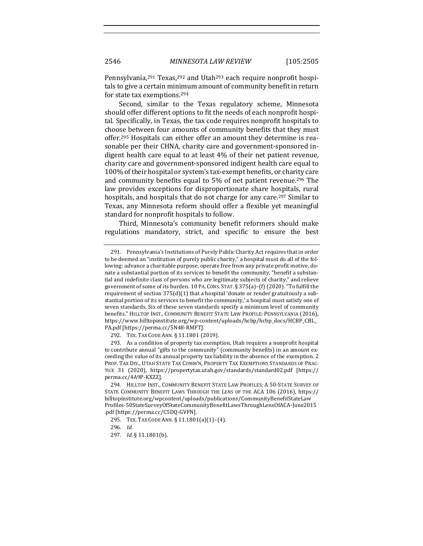Pennsylvania, $291$  Texas, $292$  and Utah<sup>293</sup> each require nonprofit hospitals to give a certain minimum amount of community benefit in return for state tax exemptions.<sup>294</sup>

Second, similar to the Texas regulatory scheme, Minnesota should offer different options to fit the needs of each nonprofit hospital. Specifically, in Texas, the tax code requires nonprofit hospitals to choose between four amounts of community benefits that they must offer.<sup>295</sup> Hospitals can either offer an amount they determine is reasonable per their CHNA, charity care and government-sponsored indigent health care equal to at least 4% of their net patient revenue, charity care and government-sponsored indigent health care equal to 100% of their hospital or system's tax-exempt benefits, or charity care and community benefits equal to  $5%$  of net patient revenue.<sup>296</sup> The law provides exceptions for disproportionate share hospitals, rural hospitals, and hospitals that do not charge for any care.<sup>297</sup> Similar to Texas, any Minnesota reform should offer a flexible yet meaningful standard for nonprofit hospitals to follow.

Third, Minnesota's community benefit reformers should make regulations mandatory, strict, and specific to ensure the best

292. TEX. TAX CODE ANN. § 11.1801 (2019).

<sup>291.</sup> Pennsylvania's Institutions of Purely Public Charity Act requires that in order to be deemed an "institution of purely public charity," a hospital must do all of the following: advance a charitable purpose, operate free from any private profit motive, donate a substantial portion of its services to benefit the community, "benefit a substantial and indefinite class of persons who are legitimate subjects of charity," and relieve government of some of its burden. 10 PA. CONS. STAT. § 375(a)-(f) (2020). "To fulfill the requirement of section  $375(d)(1)$  that a hospital 'donate or render gratuitously a substantial portion of its services to benefit the community,' a hospital must satisfy one of seven standards. Six of these seven standards specify a minimum level of community benefits." HILLTOP INST., COMMUNITY BENEFIT STATE LAW PROFILE: PENNSYLVANIA (2016), https://www.hilltopinstitute.org/wp-content/uploads/hcbp/hcbp\_docs/HCBP\_CBL\_ PA.pdf [https://perma.cc/5N48-RMFT].

<sup>293.</sup> As a condition of property tax exemption, Utah requires a nonprofit hospital to contribute annual "gifts to the community" (community benefits) in an amount exceeding the value of its annual property tax liability in the absence of the exemption. 2 PROP. TAX DIV., UTAH STATE TAX COMM'N, PROPERTY TAX EXEMPTIONS STANDARDS OF PRAC-TICE 31 (2020), https://propertytax.utah.gov/standards/standard02.pdf [https:// perma.cc/4A9P-KXZZ].

<sup>294.</sup> HILLTOP INST., COMMUNITY BENEFIT STATE LAW PROFILES: A 50-STATE SURVEY OF STATE COMMUNITY BENEFIT LAWS THROUGH THE LENS OF THE ACA 106 (2016), https:// hilltopinstitute.org/wpcontent/uploads/publications/CommunityBenefitStateLaw Profiles-50StateSurveyOfStateCommunityBenefitLawsThroughLensOfACA-June2015 .pdf [https://perma.cc/C5DQ-GVFN].

<sup>295.</sup> TEX. TAX CODE ANN. § 11.1801(a)(1)-(4).

<sup>296.</sup> *Id.* 

<sup>297.</sup> *Id.* § 11.1801(b).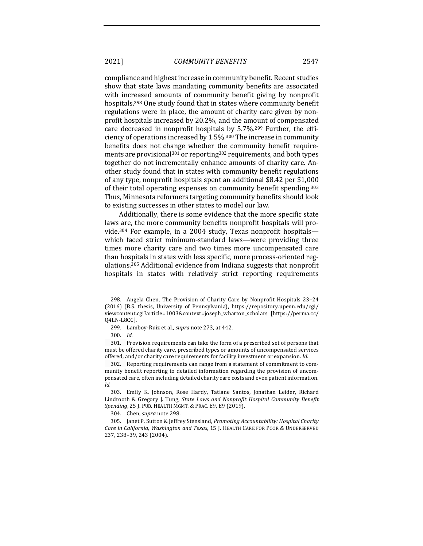#### 2021] *COMMUNITY BENEFITS* 2547

compliance and highest increase in community benefit. Recent studies show that state laws mandating community benefits are associated with increased amounts of community benefit giving by nonprofit hospitals.<sup>298</sup> One study found that in states where community benefit regulations were in place, the amount of charity care given by nonprofit hospitals increased by 20.2%, and the amount of compensated care decreased in nonprofit hospitals by  $5.7\%$ .<sup>299</sup> Further, the efficiency of operations increased by  $1.5\%$ .<sup>300</sup> The increase in community benefits does not change whether the community benefit requirements are provisional<sup>301</sup> or reporting<sup>302</sup> requirements, and both types together do not incrementally enhance amounts of charity care. Another study found that in states with community benefit regulations of any type, nonprofit hospitals spent an additional \$8.42 per \$1,000 of their total operating expenses on community benefit spending.<sup>303</sup> Thus, Minnesota reformers targeting community benefits should look to existing successes in other states to model our law.

Additionally, there is some evidence that the more specific state laws are, the more community benefits nonprofit hospitals will provide.<sup>304</sup> For example, in a 2004 study, Texas nonprofit hospitalswhich faced strict minimum-standard laws—were providing three times more charity care and two times more uncompensated care than hospitals in states with less specific, more process-oriented regulations.<sup>305</sup> Additional evidence from Indiana suggests that nonprofit hospitals in states with relatively strict reporting requirements

304. Chen, *supra* note 298.

305. Janet P. Sutton & Jeffrey Stensland, *Promoting Accountability: Hospital Charity Care in California, Washington and Texas,* 15 J. HEALTH CARE FOR POOR & UNDERSERVED 237, 238-39, 243 (2004).

<sup>298.</sup> Angela Chen, The Provision of Charity Care by Nonprofit Hospitals 23-24 (2016) (B.S. thesis, University of Pennsylvania), https://repository.upenn.edu/cgi/ viewcontent.cgi?article=1003&context=joseph\_wharton\_scholars [https://perma.cc/ Q4LN-L8CC].

<sup>299.</sup> Lamboy-Ruiz et al., *supra* note 273, at 442.

<sup>300.</sup> *Id.*

<sup>301.</sup> Provision requirements can take the form of a prescribed set of persons that must be offered charity care, prescribed types or amounts of uncompensated services offered, and/or charity care requirements for facility investment or expansion. *Id.* 

<sup>302.</sup> Reporting requirements can range from a statement of commitment to community benefit reporting to detailed information regarding the provision of uncompensated care, often including detailed charity care costs and even patient information. *Id.*

<sup>303.</sup> Emily K. Johnson, Rose Hardy, Tatiane Santos, Jonathan Leider, Richard Lindrooth & Gregory J. Tung, *State Laws and Nonprofit Hospital Community Benefit* Spending, 25 J. PUB. HEALTH MGMT. & PRAC. E9, E9 (2019).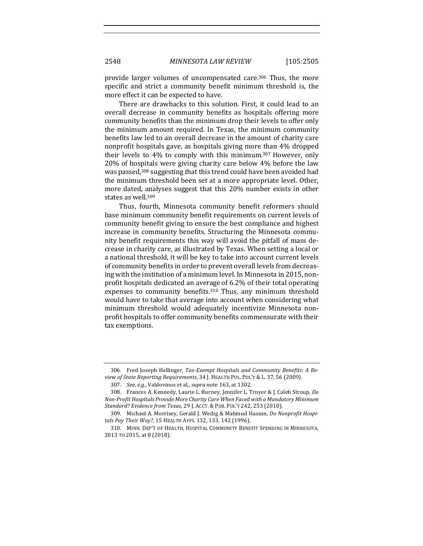provide larger volumes of uncompensated care.<sup>306</sup> Thus, the more specific and strict a community benefit minimum threshold is, the more effect it can be expected to have.

There are drawbacks to this solution. First, it could lead to an overall decrease in community benefits as hospitals offering more community benefits than the minimum drop their levels to offer only the minimum amount required. In Texas, the minimum community benefits law led to an overall decrease in the amount of charity care nonprofit hospitals gave, as hospitals giving more than 4% dropped their levels to 4% to comply with this minimum.<sup>307</sup> However, only  $20\%$  of hospitals were giving charity care below  $4\%$  before the law was passed,<sup>308</sup> suggesting that this trend could have been avoided had the minimum threshold been set at a more appropriate level. Other, more dated, analyses suggest that this 20% number exists in other states as well.<sup>309</sup>

Thus, fourth, Minnesota community benefit reformers should base minimum community benefit requirements on current levels of community benefit giving to ensure the best compliance and highest increase in community benefits. Structuring the Minnesota community benefit requirements this way will avoid the pitfall of mass decrease in charity care, as illustrated by Texas. When setting a local or a national threshold, it will be key to take into account current levels of community benefits in order to prevent overall levels from decreasing with the institution of a minimum level. In Minnesota in 2015, nonprofit hospitals dedicated an average of 6.2% of their total operating expenses to community benefits.<sup>310</sup> Thus, any minimum threshold would have to take that average into account when considering what minimum threshold would adequately incentivize Minnesota nonprofit hospitals to offer community benefits commensurate with their tax exemptions.

<sup>306.</sup> Fred Joseph Hellinger, Tax-Exempt Hospitals and Community Benefits: A Review of State Reporting Requirements, 34 J. HEALTH POL. POL'Y & L. 37, 56 (2009).

<sup>307.</sup> *See, e.g.*, Valdovinos et al., *supra* note 163, at 1302.

<sup>308.</sup> Frances A. Kennedy, Laurie L. Burney, Jennifer L. Troyer & J. Caleb Stroup, *Do Non-Profit Hospitals Provide More Charity Care When Faced with a Mandatory Minimum Standard? Evidence from Texas*, 29 J. ACCT. & PUB. POL'Y 242, 253 (2010).

<sup>309.</sup> Michael A. Morrisey, Gerald J. Wedig & Mahmud Hassan, *Do Nonprofit Hospi*tals Pay Their Way?, 15 HEALTH AFFS. 132, 133, 142 (1996).

<sup>310.</sup> MINN. DEP'T OF HEALTH, HOSPITAL COMMUNITY BENEFIT SPENDING IN MINNESOTA, 2013 TO 2015, at 8 (2018).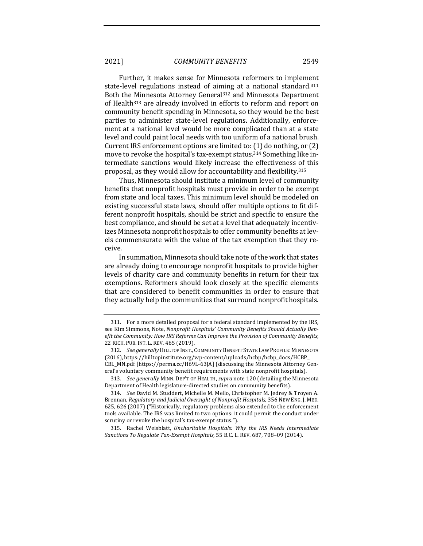2021] *COMMUNITY BENEFITS* 2549

Further, it makes sense for Minnesota reformers to implement state-level regulations instead of aiming at a national standard.<sup>311</sup> Both the Minnesota Attorney General<sup>312</sup> and Minnesota Department of Health<sup>313</sup> are already involved in efforts to reform and report on community benefit spending in Minnesota, so they would be the best parties to administer state-level regulations. Additionally, enforcement at a national level would be more complicated than at a state level and could paint local needs with too uniform of a national brush. Current IRS enforcement options are limited to:  $(1)$  do nothing, or  $(2)$ move to revoke the hospital's tax-exempt status.<sup>314</sup> Something like intermediate sanctions would likely increase the effectiveness of this proposal, as they would allow for accountability and flexibility.<sup>315</sup>

Thus, Minnesota should institute a minimum level of community benefits that nonprofit hospitals must provide in order to be exempt from state and local taxes. This minimum level should be modeled on existing successful state laws, should offer multiple options to fit different nonprofit hospitals, should be strict and specific to ensure the best compliance, and should be set at a level that adequately incentivizes Minnesota nonprofit hospitals to offer community benefits at levels commensurate with the value of the tax exemption that they receive.

In summation, Minnesota should take note of the work that states are already doing to encourage nonprofit hospitals to provide higher levels of charity care and community benefits in return for their tax exemptions. Reformers should look closely at the specific elements that are considered to benefit communities in order to ensure that they actually help the communities that surround nonprofit hospitals.

313. *See generally* MINN. DEP'T OF HEALTH, *supra* note 120 (detailing the Minnesota Department of Health legislature-directed studies on community benefits).

314. *See* David M. Studdert, Michelle M. Mello, Christopher M. Jedrey & Troyen A. Brennan, *Regulatory and Judicial Oversight of Nonprofit Hospitals*, 356 NEW ENG. J. MED. 625, 626 (2007) ("Historically, regulatory problems also extended to the enforcement tools available. The IRS was limited to two options: it could permit the conduct under scrutiny or revoke the hospital's tax-exempt status.").

315. Rachel Weisblatt, *Uncharitable Hospitals: Why the IRS Needs Intermediate Sanctions To Regulate Tax-Exempt Hospitals*, 55 B.C. L. REV. 687, 708-09 (2014).

<sup>311.</sup> For a more detailed proposal for a federal standard implemented by the IRS, see Kim Simmons, Note, *Nonprofit Hospitals' Community Benefits Should Actually Benefit the Community: How IRS Reforms Can Improve the Provision of Community Benefits,* 22 RICH. PUB. INT. L. REV. 465 (2019).

<sup>312.</sup> See generally HILLTOP INST., COMMUNITY BENEFIT STATE LAW PROFILE: MINNESOTA (2016), https://hilltopinstitute.org/wp-content/uploads/hcbp/hcbp\_docs/HCBP\_ CBL\_MN.pdf [https://perma.cc/H69L-63JA] (discussing the Minnesota Attorney General's voluntary community benefit requirements with state nonprofit hospitals).